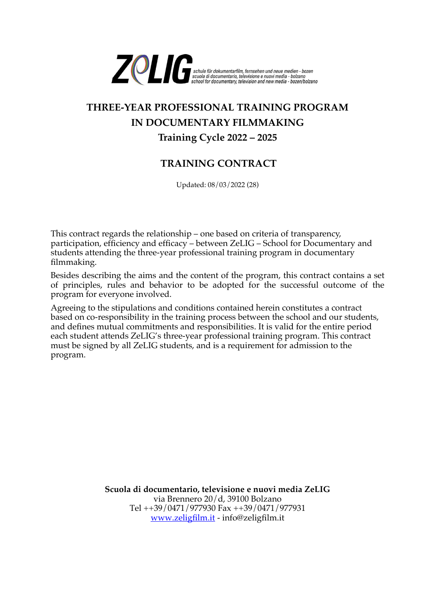

## **THREE-YEAR PROFESSIONAL TRAINING PROGRAM IN DOCUMENTARY FILMMAKING Training Cycle 2022 – 2025**

## **TRAINING CONTRACT**

Updated: 08/03/2022 (28)

This contract regards the relationship – one based on criteria of transparency, participation, efficiency and efficacy – between ZeLIG – School for Documentary and students attending the three-year professional training program in documentary filmmaking.

Besides describing the aims and the content of the program, this contract contains a set of principles, rules and behavior to be adopted for the successful outcome of the program for everyone involved.

Agreeing to the stipulations and conditions contained herein constitutes a contract based on co-responsibility in the training process between the school and our students, and defines mutual commitments and responsibilities. It is valid for the entire period each student attends ZeLIG's three-year professional training program. This contract must be signed by all ZeLIG students, and is a requirement for admission to the program.

> **Scuola di documentario, televisione e nuovi media ZeLIG** via Brennero 20/d, 39100 Bolzano Tel ++39/0471/977930 Fax ++39/0471/977931 [www.zeligfilm.it](http://www.zeligfilm.it/) - info@zeligfilm.it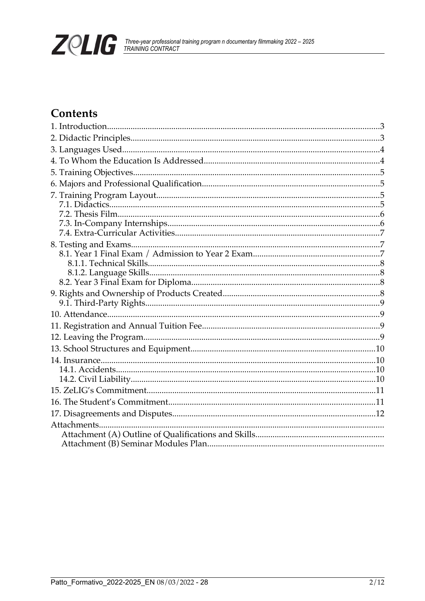

## Contents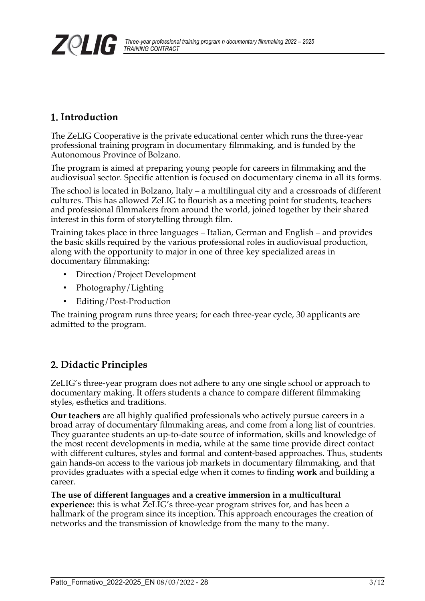## <span id="page-2-1"></span>1. **Introduction**

The ZeLIG Cooperative is the private educational center which runs the three-year professional training program in documentary filmmaking, and is funded by the Autonomous Province of Bolzano.

The program is aimed at preparing young people for careers in filmmaking and the audiovisual sector. Specific attention is focused on documentary cinema in all its forms.

The school is located in Bolzano, Italy – a multilingual city and a crossroads of different cultures. This has allowed ZeLIG to flourish as a meeting point for students, teachers and professional filmmakers from around the world, joined together by their shared interest in this form of storytelling through film.

Training takes place in three languages – Italian, German and English – and provides the basic skills required by the various professional roles in audiovisual production, along with the opportunity to major in one of three key specialized areas in documentary filmmaking:

- Direction/Project Development
- Photography/Lighting
- Editing/Post-Production

The training program runs three years; for each three-year cycle, 30 applicants are admitted to the program.

## <span id="page-2-0"></span>2. **Didactic Principles**

ZeLIG's three-year program does not adhere to any one single school or approach to documentary making. It offers students a chance to compare different filmmaking styles, esthetics and traditions.

**Our teachers** are all highly qualified professionals who actively pursue careers in a broad array of documentary filmmaking areas, and come from a long list of countries. They guarantee students an up-to-date source of information, skills and knowledge of the most recent developments in media, while at the same time provide direct contact with different cultures, styles and formal and content-based approaches. Thus, students gain hands-on access to the various job markets in documentary filmmaking, and that provides graduates with a special edge when it comes to finding **work** and building a career.

**The use of different languages and a creative immersion in a multicultural experience:** this is what ZeLIG's three-year program strives for, and has been a hallmark of the program since its inception. This approach encourages the creation of networks and the transmission of knowledge from the many to the many.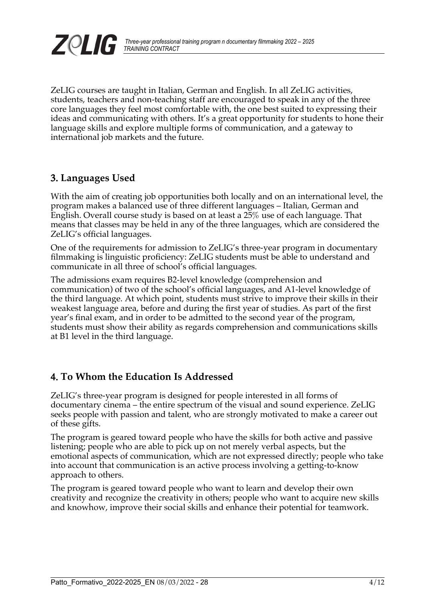

ZeLIG courses are taught in Italian, German and English. In all ZeLIG activities, students, teachers and non-teaching staff are encouraged to speak in any of the three core languages they feel most comfortable with, the one best suited to expressing their ideas and communicating with others. It's a great opportunity for students to hone their language skills and explore multiple forms of communication, and a gateway to international job markets and the future.

## <span id="page-3-1"></span>3. **Languages Used**

With the aim of creating job opportunities both locally and on an international level, the program makes a balanced use of three different languages – Italian, German and English. Overall course study is based on at least a 25% use of each language. That means that classes may be held in any of the three languages, which are considered the ZeLIG's official languages.

One of the requirements for admission to ZeLIG's three-year program in documentary filmmaking is linguistic proficiency: ZeLIG students must be able to understand and communicate in all three of school's official languages.

The admissions exam requires B2-level knowledge (comprehension and communication) of two of the school's official languages, and A1-level knowledge of the third language. At which point, students must strive to improve their skills in their weakest language area, before and during the first year of studies. As part of the first year's final exam, and in order to be admitted to the second year of the program, students must show their ability as regards comprehension and communications skills at B1 level in the third language.

## <span id="page-3-0"></span>4. **To Whom the Education Is Addressed**

ZeLIG's three-year program is designed for people interested in all forms of documentary cinema – the entire spectrum of the visual and sound experience. ZeLIG seeks people with passion and talent, who are strongly motivated to make a career out of these gifts.

The program is geared toward people who have the skills for both active and passive listening; people who are able to pick up on not merely verbal aspects, but the emotional aspects of communication, which are not expressed directly; people who take into account that communication is an active process involving a getting-to-know approach to others.

The program is geared toward people who want to learn and develop their own creativity and recognize the creativity in others; people who want to acquire new skills and knowhow, improve their social skills and enhance their potential for teamwork.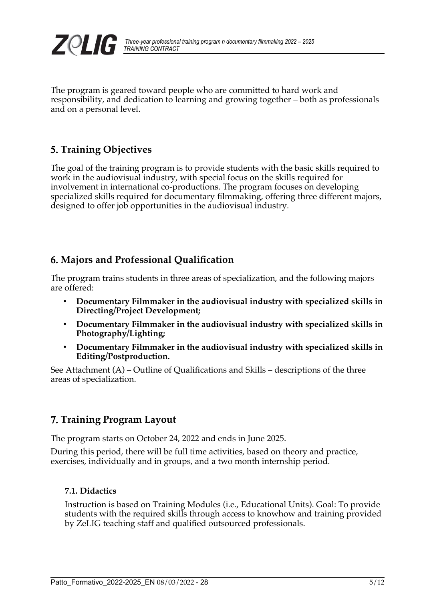

The program is geared toward people who are committed to hard work and responsibility, and dedication to learning and growing together – both as professionals and on a personal level.

## <span id="page-4-3"></span>5. **Training Objectives**

The goal of the training program is to provide students with the basic skills required to work in the audiovisual industry, with special focus on the skills required for involvement in international co-productions. The program focuses on developing specialized skills required for documentary filmmaking, offering three different majors, designed to offer job opportunities in the audiovisual industry.

## <span id="page-4-2"></span>6. **Majors and Professional Qualification**

The program trains students in three areas of specialization, and the following majors are offered:

- **Documentary Filmmaker in the audiovisual industry with specialized skills in Directing/Project Development;**
- **Documentary Filmmaker in the audiovisual industry with specialized skills in Photography/Lighting;**
- **Documentary Filmmaker in the audiovisual industry with specialized skills in Editing/Postproduction.**

See Attachment (A) – Outline of Qualifications and Skills – descriptions of the three areas of specialization.

## <span id="page-4-1"></span>7. **Training Program Layout**

The program starts on October 24, 2022 and ends in June 2025.

During this period, there will be full time activities, based on theory and practice, exercises, individually and in groups, and a two month internship period.

#### <span id="page-4-0"></span>**7.1. Didactics**

Instruction is based on Training Modules (i.e., Educational Units). Goal: To provide students with the required skills through access to knowhow and training provided by ZeLIG teaching staff and qualified outsourced professionals.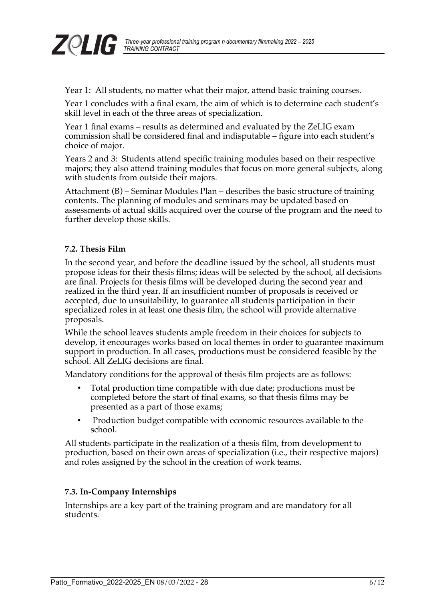

Year 1: All students, no matter what their major, attend basic training courses.

Year 1 concludes with a final exam, the aim of which is to determine each student's skill level in each of the three areas of specialization.

Year 1 final exams – results as determined and evaluated by the ZeLIG exam commission shall be considered final and indisputable – figure into each student's choice of major.

Years 2 and 3: Students attend specific training modules based on their respective majors; they also attend training modules that focus on more general subjects, along with students from outside their majors.

Attachment (B) – Seminar Modules Plan – describes the basic structure of training contents. The planning of modules and seminars may be updated based on assessments of actual skills acquired over the course of the program and the need to further develop those skills.

#### <span id="page-5-1"></span>**7.2. Thesis Film**

In the second year, and before the deadline issued by the school, all students must propose ideas for their thesis films; ideas will be selected by the school, all decisions are final. Projects for thesis films will be developed during the second year and realized in the third year. If an insufficient number of proposals is received or accepted, due to unsuitability, to guarantee all students participation in their specialized roles in at least one thesis film, the school will provide alternative proposals.

While the school leaves students ample freedom in their choices for subjects to develop, it encourages works based on local themes in order to guarantee maximum support in production. In all cases, productions must be considered feasible by the school. All ZeLIG decisions are final.

Mandatory conditions for the approval of thesis film projects are as follows:

- Total production time compatible with due date; productions must be completed before the start of final exams, so that thesis films may be presented as a part of those exams;
- Production budget compatible with economic resources available to the school.

All students participate in the realization of a thesis film, from development to production, based on their own areas of specialization (i.e., their respective majors) and roles assigned by the school in the creation of work teams.

#### <span id="page-5-0"></span>**7.3. In-Company Internships**

Internships are a key part of the training program and are mandatory for all students.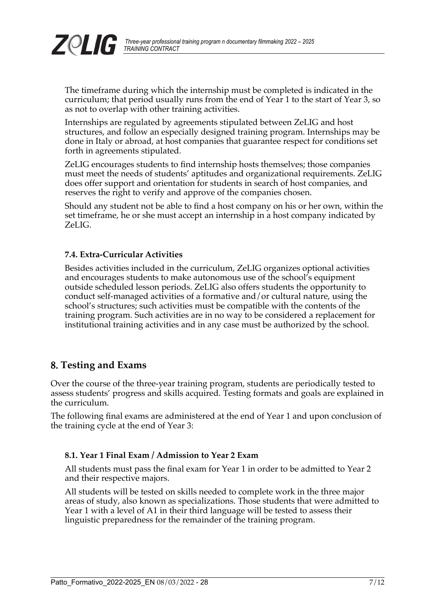

The timeframe during which the internship must be completed is indicated in the curriculum; that period usually runs from the end of Year 1 to the start of Year 3, so as not to overlap with other training activities.

Internships are regulated by agreements stipulated between ZeLIG and host structures, and follow an especially designed training program. Internships may be done in Italy or abroad, at host companies that guarantee respect for conditions set forth in agreements stipulated.

ZeLIG encourages students to find internship hosts themselves; those companies must meet the needs of students' aptitudes and organizational requirements. ZeLIG does offer support and orientation for students in search of host companies, and reserves the right to verify and approve of the companies chosen.

Should any student not be able to find a host company on his or her own, within the set timeframe, he or she must accept an internship in a host company indicated by ZeLIG.

#### <span id="page-6-2"></span>**7.4. Extra-Curricular Activities**

Besides activities included in the curriculum, ZeLIG organizes optional activities and encourages students to make autonomous use of the school's equipment outside scheduled lesson periods. ZeLIG also offers students the opportunity to conduct self-managed activities of a formative and/or cultural nature, using the school's structures; such activities must be compatible with the contents of the training program. Such activities are in no way to be considered a replacement for institutional training activities and in any case must be authorized by the school.

### <span id="page-6-1"></span>8. **Testing and Exams**

Over the course of the three-year training program, students are periodically tested to assess students' progress and skills acquired. Testing formats and goals are explained in the curriculum.

The following final exams are administered at the end of Year 1 and upon conclusion of the training cycle at the end of Year 3:

#### <span id="page-6-0"></span>**8.1. Year 1 Final Exam / Admission to Year 2 Exam**

All students must pass the final exam for Year 1 in order to be admitted to Year 2 and their respective majors.

All students will be tested on skills needed to complete work in the three major areas of study, also known as specializations. Those students that were admitted to Year 1 with a level of A1 in their third language will be tested to assess their linguistic preparedness for the remainder of the training program.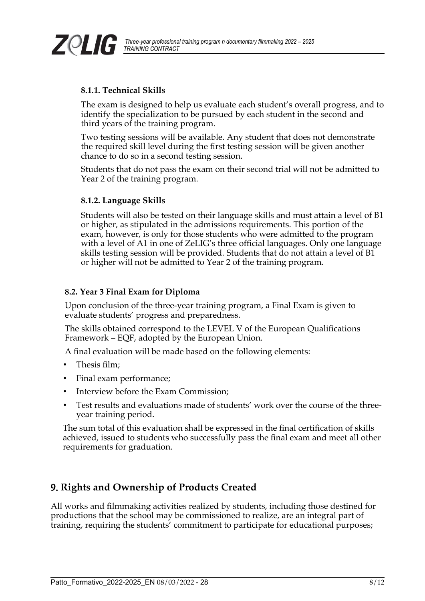

#### <span id="page-7-3"></span>**8.1.1. Technical Skills**

The exam is designed to help us evaluate each student's overall progress, and to identify the specialization to be pursued by each student in the second and third years of the training program.

Two testing sessions will be available. Any student that does not demonstrate the required skill level during the first testing session will be given another chance to do so in a second testing session.

Students that do not pass the exam on their second trial will not be admitted to Year 2 of the training program.

#### <span id="page-7-2"></span>**8.1.2. Language Skills**

Students will also be tested on their language skills and must attain a level of B1 or higher, as stipulated in the admissions requirements. This portion of the exam, however, is only for those students who were admitted to the program with a level of A1 in one of ZeLIG's three official languages. Only one language skills testing session will be provided. Students that do not attain a level of B1 or higher will not be admitted to Year 2 of the training program.

#### <span id="page-7-1"></span>**8.2. Year 3 Final Exam for Diploma**

Upon conclusion of the three-year training program, a Final Exam is given to evaluate students' progress and preparedness.

The skills obtained correspond to the LEVEL V of the European Qualifications Framework – EQF, adopted by the European Union.

A final evaluation will be made based on the following elements:

- Thesis film;
- Final exam performance;
- Interview before the Exam Commission;
- Test results and evaluations made of students' work over the course of the threeyear training period.

The sum total of this evaluation shall be expressed in the final certification of skills achieved, issued to students who successfully pass the final exam and meet all other requirements for graduation.

## <span id="page-7-0"></span>9. **Rights and Ownership of Products Created**

All works and filmmaking activities realized by students, including those destined for productions that the school may be commissioned to realize, are an integral part of training, requiring the students' commitment to participate for educational purposes;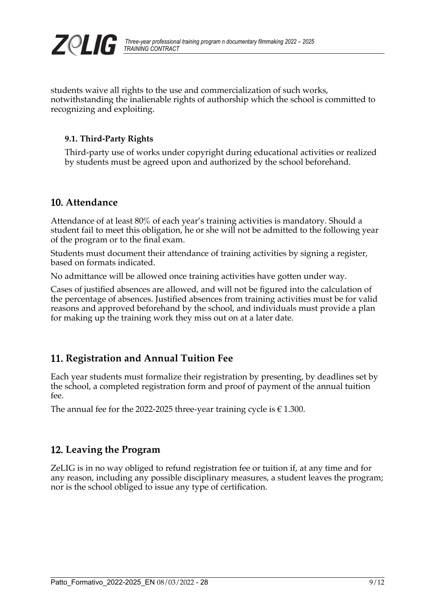

students waive all rights to the use and commercialization of such works, notwithstanding the inalienable rights of authorship which the school is committed to recognizing and exploiting.

#### <span id="page-8-3"></span>**9.1. Third-Party Rights**

Third-party use of works under copyright during educational activities or realized by students must be agreed upon and authorized by the school beforehand.

### <span id="page-8-2"></span>10. **Attendance**

Attendance of at least 80% of each year's training activities is mandatory. Should a student fail to meet this obligation, he or she will not be admitted to the following year of the program or to the final exam.

Students must document their attendance of training activities by signing a register, based on formats indicated.

No admittance will be allowed once training activities have gotten under way.

Cases of justified absences are allowed, and will not be figured into the calculation of the percentage of absences. Justified absences from training activities must be for valid reasons and approved beforehand by the school, and individuals must provide a plan for making up the training work they miss out on at a later date.

## <span id="page-8-1"></span>11. **Registration and Annual Tuition Fee**

Each year students must formalize their registration by presenting, by deadlines set by the school, a completed registration form and proof of payment of the annual tuition fee.

The annual fee for the 2022-2025 three-year training cycle is  $\in$  1.300.

### <span id="page-8-0"></span>12. **Leaving the Program**

ZeLIG is in no way obliged to refund registration fee or tuition if, at any time and for any reason, including any possible disciplinary measures, a student leaves the program; nor is the school obliged to issue any type of certification.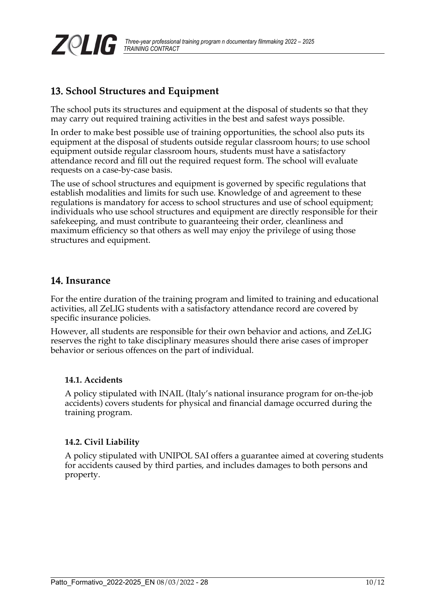

## <span id="page-9-3"></span>13. **School Structures and Equipment**

The school puts its structures and equipment at the disposal of students so that they may carry out required training activities in the best and safest ways possible.

In order to make best possible use of training opportunities, the school also puts its equipment at the disposal of students outside regular classroom hours; to use school equipment outside regular classroom hours, students must have a satisfactory attendance record and fill out the required request form. The school will evaluate requests on a case-by-case basis.

The use of school structures and equipment is governed by specific regulations that establish modalities and limits for such use. Knowledge of and agreement to these regulations is mandatory for access to school structures and use of school equipment; individuals who use school structures and equipment are directly responsible for their safekeeping, and must contribute to guaranteeing their order, cleanliness and maximum efficiency so that others as well may enjoy the privilege of using those structures and equipment.

#### <span id="page-9-2"></span>14. **Insurance**

For the entire duration of the training program and limited to training and educational activities, all ZeLIG students with a satisfactory attendance record are covered by specific insurance policies.

However, all students are responsible for their own behavior and actions, and ZeLIG reserves the right to take disciplinary measures should there arise cases of improper behavior or serious offences on the part of individual.

#### <span id="page-9-1"></span>**14.1. Accidents**

A policy stipulated with INAIL (Italy's national insurance program for on-the-job accidents) covers students for physical and financial damage occurred during the training program.

#### <span id="page-9-0"></span>**14.2. Civil Liability**

A policy stipulated with UNIPOL SAI offers a guarantee aimed at covering students for accidents caused by third parties, and includes damages to both persons and property.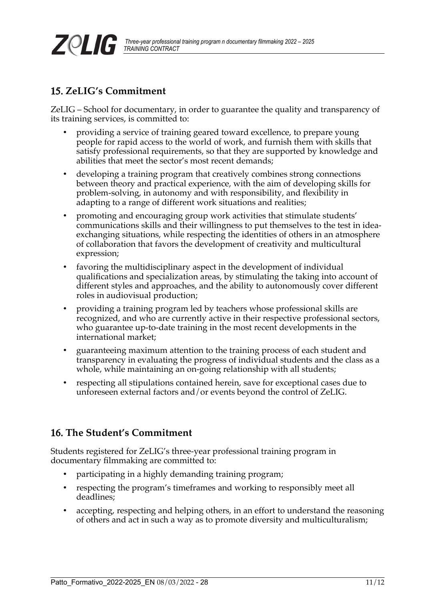

## <span id="page-10-1"></span>15. **ZeLIG's Commitment**

ZeLIG – School for documentary, in order to guarantee the quality and transparency of its training services, is committed to:

- providing a service of training geared toward excellence, to prepare young people for rapid access to the world of work, and furnish them with skills that satisfy professional requirements, so that they are supported by knowledge and abilities that meet the sector's most recent demands;
- developing a training program that creatively combines strong connections between theory and practical experience, with the aim of developing skills for problem-solving, in autonomy and with responsibility, and flexibility in adapting to a range of different work situations and realities;
- promoting and encouraging group work activities that stimulate students' communications skills and their willingness to put themselves to the test in ideaexchanging situations, while respecting the identities of others in an atmosphere of collaboration that favors the development of creativity and multicultural expression;
- favoring the multidisciplinary aspect in the development of individual qualifications and specialization areas, by stimulating the taking into account of different styles and approaches, and the ability to autonomously cover different roles in audiovisual production;
- providing a training program led by teachers whose professional skills are recognized, and who are currently active in their respective professional sectors, who guarantee up-to-date training in the most recent developments in the international market;
- guaranteeing maximum attention to the training process of each student and transparency in evaluating the progress of individual students and the class as a whole, while maintaining an on-going relationship with all students;
- respecting all stipulations contained herein, save for exceptional cases due to unforeseen external factors and/or events beyond the control of ZeLIG.

## <span id="page-10-0"></span>16. **The Student's Commitment**

Students registered for ZeLIG's three-year professional training program in documentary filmmaking are committed to:

- participating in a highly demanding training program;
- respecting the program's timeframes and working to responsibly meet all deadlines;
- accepting, respecting and helping others, in an effort to understand the reasoning of others and act in such a way as to promote diversity and multiculturalism;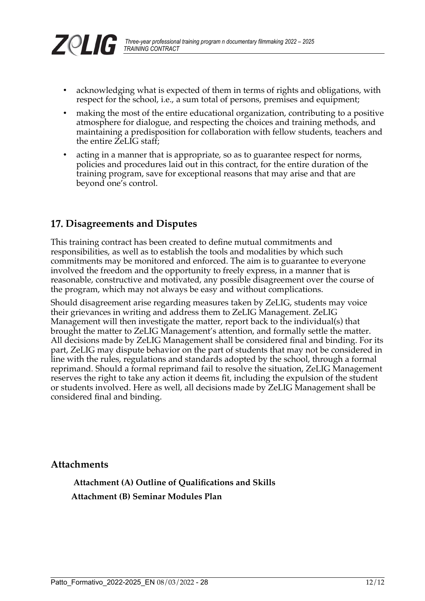

 *Three-year professional training program n documentary filmmaking 2022 – 2025*

- respect for the school, i.e., a sum total of persons, premises and equipment;
- making the most of the entire educational organization, contributing to a positive atmosphere for dialogue, and respecting the choices and training methods, and maintaining a predisposition for collaboration with fellow students, teachers and the entire ZeLIG staff;
- acting in a manner that is appropriate, so as to guarantee respect for norms, policies and procedures laid out in this contract, for the entire duration of the training program, save for exceptional reasons that may arise and that are beyond one's control.

### <span id="page-11-3"></span>17. **Disagreements and Disputes**

*TRAINING CONTRACT*

ZQLIG

This training contract has been created to define mutual commitments and responsibilities, as well as to establish the tools and modalities by which such commitments may be monitored and enforced. The aim is to guarantee to everyone involved the freedom and the opportunity to freely express, in a manner that is reasonable, constructive and motivated, any possible disagreement over the course of the program, which may not always be easy and without complications.

Should disagreement arise regarding measures taken by ZeLIG, students may voice their grievances in writing and address them to ZeLIG Management. ZeLIG Management will then investigate the matter, report back to the individual(s) that brought the matter to ZeLIG Management's attention, and formally settle the matter. All decisions made by ZeLIG Management shall be considered final and binding. For its part, ZeLIG may dispute behavior on the part of students that may not be considered in line with the rules, regulations and standards adopted by the school, through a formal reprimand. Should a formal reprimand fail to resolve the situation, ZeLIG Management reserves the right to take any action it deems fit, including the expulsion of the student or students involved. Here as well, all decisions made by ZeLIG Management shall be considered final and binding.

#### <span id="page-11-2"></span>**Attachments**

<span id="page-11-1"></span><span id="page-11-0"></span> **Attachment (A) Outline of Qualifications and Skills Attachment (B) Seminar Modules Plan**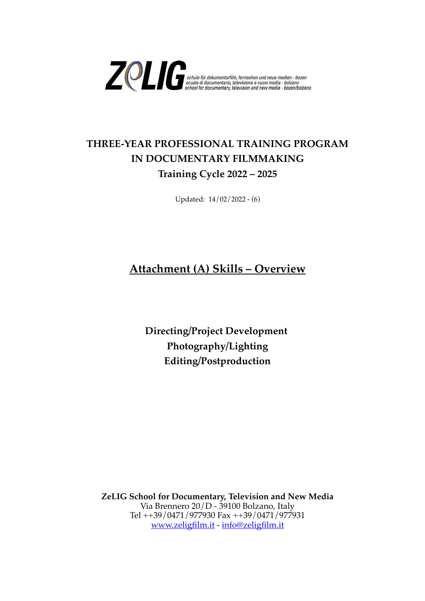

## **THREE-YEAR PROFESSIONAL TRAINING PROGRAM IN DOCUMENTARY FILMMAKING Training Cycle 2022 – 2025**

Updated: 14/02/2022 - (6)

## **Attachment (A) Skills – Overview**

**Directing/Project Development Photography/Lighting Editing/Postproduction**

**ZeLIG School for Documentary, Television and New Media** Via Brennero 20/D - 39100 Bolzano, Italy Tel ++39/0471/977930 Fax ++39/0471/977931 [www.zeligfilm.it](http://www.zeligfilm.it/) - [info@zeligfilm.it](mailto:info@zeligfilm.it)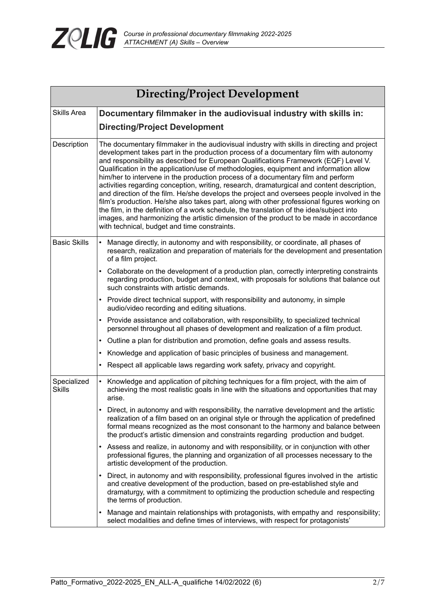

| Directing/Project Development |                                                                                                                                                                                                                                                                                                                                                                                                                                                                                                                                                                                                                                                                                                                                                                                                                                                                                                                                                                                           |  |  |  |  |
|-------------------------------|-------------------------------------------------------------------------------------------------------------------------------------------------------------------------------------------------------------------------------------------------------------------------------------------------------------------------------------------------------------------------------------------------------------------------------------------------------------------------------------------------------------------------------------------------------------------------------------------------------------------------------------------------------------------------------------------------------------------------------------------------------------------------------------------------------------------------------------------------------------------------------------------------------------------------------------------------------------------------------------------|--|--|--|--|
| <b>Skills Area</b>            | Documentary filmmaker in the audiovisual industry with skills in:                                                                                                                                                                                                                                                                                                                                                                                                                                                                                                                                                                                                                                                                                                                                                                                                                                                                                                                         |  |  |  |  |
|                               | <b>Directing/Project Development</b>                                                                                                                                                                                                                                                                                                                                                                                                                                                                                                                                                                                                                                                                                                                                                                                                                                                                                                                                                      |  |  |  |  |
| Description                   | The documentary filmmaker in the audiovisual industry with skills in directing and project<br>development takes part in the production process of a documentary film with autonomy<br>and responsibility as described for European Qualifications Framework (EQF) Level V.<br>Qualification in the application/use of methodologies, equipment and information allow<br>him/her to intervene in the production process of a documentary film and perform<br>activities regarding conception, writing, research, dramaturgical and content description,<br>and direction of the film. He/she develops the project and oversees people involved in the<br>film's production. He/she also takes part, along with other professional figures working on<br>the film, in the definition of a work schedule, the translation of the idea/subject into<br>images, and harmonizing the artistic dimension of the product to be made in accordance<br>with technical, budget and time constraints. |  |  |  |  |
| <b>Basic Skills</b>           | Manage directly, in autonomy and with responsibility, or coordinate, all phases of<br>research, realization and preparation of materials for the development and presentation<br>of a film project.                                                                                                                                                                                                                                                                                                                                                                                                                                                                                                                                                                                                                                                                                                                                                                                       |  |  |  |  |
|                               | Collaborate on the development of a production plan, correctly interpreting constraints<br>$\bullet$<br>regarding production, budget and context, with proposals for solutions that balance out<br>such constraints with artistic demands.                                                                                                                                                                                                                                                                                                                                                                                                                                                                                                                                                                                                                                                                                                                                                |  |  |  |  |
|                               | • Provide direct technical support, with responsibility and autonomy, in simple<br>audio/video recording and editing situations.                                                                                                                                                                                                                                                                                                                                                                                                                                                                                                                                                                                                                                                                                                                                                                                                                                                          |  |  |  |  |
|                               | Provide assistance and collaboration, with responsibility, to specialized technical<br>$\bullet$<br>personnel throughout all phases of development and realization of a film product.                                                                                                                                                                                                                                                                                                                                                                                                                                                                                                                                                                                                                                                                                                                                                                                                     |  |  |  |  |
|                               | Outline a plan for distribution and promotion, define goals and assess results.<br>$\bullet$                                                                                                                                                                                                                                                                                                                                                                                                                                                                                                                                                                                                                                                                                                                                                                                                                                                                                              |  |  |  |  |
|                               | Knowledge and application of basic principles of business and management.<br>$\bullet$                                                                                                                                                                                                                                                                                                                                                                                                                                                                                                                                                                                                                                                                                                                                                                                                                                                                                                    |  |  |  |  |
|                               | Respect all applicable laws regarding work safety, privacy and copyright.<br>$\bullet$                                                                                                                                                                                                                                                                                                                                                                                                                                                                                                                                                                                                                                                                                                                                                                                                                                                                                                    |  |  |  |  |
| Specialized<br><b>Skills</b>  | Knowledge and application of pitching techniques for a film project, with the aim of<br>$\bullet$<br>achieving the most realistic goals in line with the situations and opportunities that may<br>arise.                                                                                                                                                                                                                                                                                                                                                                                                                                                                                                                                                                                                                                                                                                                                                                                  |  |  |  |  |
|                               | Direct, in autonomy and with responsibility, the narrative development and the artistic<br>realization of a film based on an original style or through the application of predefined<br>formal means recognized as the most consonant to the harmony and balance between<br>the product's artistic dimension and constraints regarding production and budget.                                                                                                                                                                                                                                                                                                                                                                                                                                                                                                                                                                                                                             |  |  |  |  |
|                               | Assess and realize, in autonomy and with responsibility, or in conjunction with other<br>$\bullet$<br>professional figures, the planning and organization of all processes necessary to the<br>artistic development of the production.                                                                                                                                                                                                                                                                                                                                                                                                                                                                                                                                                                                                                                                                                                                                                    |  |  |  |  |
|                               | Direct, in autonomy and with responsibility, professional figures involved in the artistic<br>$\bullet$<br>and creative development of the production, based on pre-established style and<br>dramaturgy, with a commitment to optimizing the production schedule and respecting<br>the terms of production.                                                                                                                                                                                                                                                                                                                                                                                                                                                                                                                                                                                                                                                                               |  |  |  |  |
|                               | Manage and maintain relationships with protagonists, with empathy and responsibility;<br>٠<br>select modalities and define times of interviews, with respect for protagonists'                                                                                                                                                                                                                                                                                                                                                                                                                                                                                                                                                                                                                                                                                                                                                                                                            |  |  |  |  |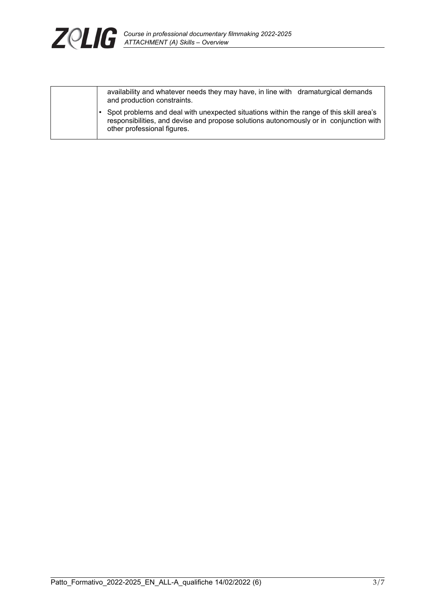

|  |                                                                                                                                                                                                                  | availability and whatever needs they may have, in line with dramaturgical demands<br>and production constraints. |
|--|------------------------------------------------------------------------------------------------------------------------------------------------------------------------------------------------------------------|------------------------------------------------------------------------------------------------------------------|
|  | Spot problems and deal with unexpected situations within the range of this skill area's<br>responsibilities, and devise and propose solutions autonomously or in conjunction with<br>other professional figures. |                                                                                                                  |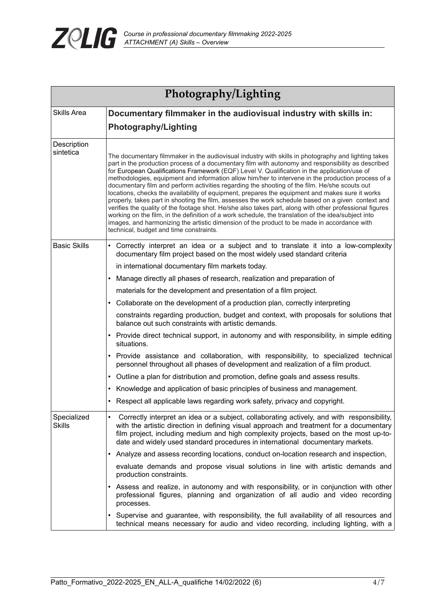

| Photography/Lighting                                                                    |                                                                                                                                                                                                                                                                                                                                                                                                                                                                                                                                                                                                                                                                                                                                                                                                                                                                                                                                                                                                                                                                                       |  |  |  |
|-----------------------------------------------------------------------------------------|---------------------------------------------------------------------------------------------------------------------------------------------------------------------------------------------------------------------------------------------------------------------------------------------------------------------------------------------------------------------------------------------------------------------------------------------------------------------------------------------------------------------------------------------------------------------------------------------------------------------------------------------------------------------------------------------------------------------------------------------------------------------------------------------------------------------------------------------------------------------------------------------------------------------------------------------------------------------------------------------------------------------------------------------------------------------------------------|--|--|--|
| <b>Skills Area</b><br>Documentary filmmaker in the audiovisual industry with skills in: |                                                                                                                                                                                                                                                                                                                                                                                                                                                                                                                                                                                                                                                                                                                                                                                                                                                                                                                                                                                                                                                                                       |  |  |  |
|                                                                                         | <b>Photography/Lighting</b>                                                                                                                                                                                                                                                                                                                                                                                                                                                                                                                                                                                                                                                                                                                                                                                                                                                                                                                                                                                                                                                           |  |  |  |
| Description<br>sintetica                                                                | The documentary filmmaker in the audiovisual industry with skills in photography and lighting takes<br>part in the production process of a documentary film with autonomy and responsibility as described<br>for European Qualifications Framework (EQF) Level V. Qualification in the application/use of<br>methodologies, equipment and information allow him/her to intervene in the production process of a<br>documentary film and perform activities regarding the shooting of the film. He/she scouts out<br>locations, checks the availability of equipment, prepares the equipment and makes sure it works<br>properly, takes part in shooting the film, assesses the work schedule based on a given context and<br>verifies the quality of the footage shot. He/she also takes part, along with other professional figures<br>working on the film, in the definition of a work schedule, the translation of the idea/subject into<br>images, and harmonizing the artistic dimension of the product to be made in accordance with<br>technical, budget and time constraints. |  |  |  |
| <b>Basic Skills</b>                                                                     | • Correctly interpret an idea or a subject and to translate it into a low-complexity<br>documentary film project based on the most widely used standard criteria                                                                                                                                                                                                                                                                                                                                                                                                                                                                                                                                                                                                                                                                                                                                                                                                                                                                                                                      |  |  |  |
|                                                                                         | in international documentary film markets today.                                                                                                                                                                                                                                                                                                                                                                                                                                                                                                                                                                                                                                                                                                                                                                                                                                                                                                                                                                                                                                      |  |  |  |
|                                                                                         | Manage directly all phases of research, realization and preparation of<br>$\bullet$                                                                                                                                                                                                                                                                                                                                                                                                                                                                                                                                                                                                                                                                                                                                                                                                                                                                                                                                                                                                   |  |  |  |
|                                                                                         | materials for the development and presentation of a film project.                                                                                                                                                                                                                                                                                                                                                                                                                                                                                                                                                                                                                                                                                                                                                                                                                                                                                                                                                                                                                     |  |  |  |
|                                                                                         | • Collaborate on the development of a production plan, correctly interpreting                                                                                                                                                                                                                                                                                                                                                                                                                                                                                                                                                                                                                                                                                                                                                                                                                                                                                                                                                                                                         |  |  |  |
|                                                                                         | constraints regarding production, budget and context, with proposals for solutions that<br>balance out such constraints with artistic demands.                                                                                                                                                                                                                                                                                                                                                                                                                                                                                                                                                                                                                                                                                                                                                                                                                                                                                                                                        |  |  |  |
|                                                                                         | • Provide direct technical support, in autonomy and with responsibility, in simple editing<br>situations.                                                                                                                                                                                                                                                                                                                                                                                                                                                                                                                                                                                                                                                                                                                                                                                                                                                                                                                                                                             |  |  |  |
|                                                                                         | • Provide assistance and collaboration, with responsibility, to specialized technical<br>personnel throughout all phases of development and realization of a film product.                                                                                                                                                                                                                                                                                                                                                                                                                                                                                                                                                                                                                                                                                                                                                                                                                                                                                                            |  |  |  |
|                                                                                         | • Outline a plan for distribution and promotion, define goals and assess results.                                                                                                                                                                                                                                                                                                                                                                                                                                                                                                                                                                                                                                                                                                                                                                                                                                                                                                                                                                                                     |  |  |  |
|                                                                                         | • Knowledge and application of basic principles of business and management.                                                                                                                                                                                                                                                                                                                                                                                                                                                                                                                                                                                                                                                                                                                                                                                                                                                                                                                                                                                                           |  |  |  |
|                                                                                         | Respect all applicable laws regarding work safety, privacy and copyright.                                                                                                                                                                                                                                                                                                                                                                                                                                                                                                                                                                                                                                                                                                                                                                                                                                                                                                                                                                                                             |  |  |  |
| Specialized<br>Skills                                                                   | Correctly interpret an idea or a subject, collaborating actively, and with responsibility,<br>$\bullet$<br>with the artistic direction in defining visual approach and treatment for a documentary<br>film project, including medium and high complexity projects, based on the most up-to-<br>date and widely used standard procedures in international documentary markets.                                                                                                                                                                                                                                                                                                                                                                                                                                                                                                                                                                                                                                                                                                         |  |  |  |
|                                                                                         | • Analyze and assess recording locations, conduct on-location research and inspection,                                                                                                                                                                                                                                                                                                                                                                                                                                                                                                                                                                                                                                                                                                                                                                                                                                                                                                                                                                                                |  |  |  |
|                                                                                         | evaluate demands and propose visual solutions in line with artistic demands and<br>production constraints.                                                                                                                                                                                                                                                                                                                                                                                                                                                                                                                                                                                                                                                                                                                                                                                                                                                                                                                                                                            |  |  |  |
|                                                                                         | Assess and realize, in autonomy and with responsibility, or in conjunction with other<br>$\bullet$<br>professional figures, planning and organization of all audio and video recording<br>processes.                                                                                                                                                                                                                                                                                                                                                                                                                                                                                                                                                                                                                                                                                                                                                                                                                                                                                  |  |  |  |
|                                                                                         | • Supervise and guarantee, with responsibility, the full availability of all resources and<br>technical means necessary for audio and video recording, including lighting, with a                                                                                                                                                                                                                                                                                                                                                                                                                                                                                                                                                                                                                                                                                                                                                                                                                                                                                                     |  |  |  |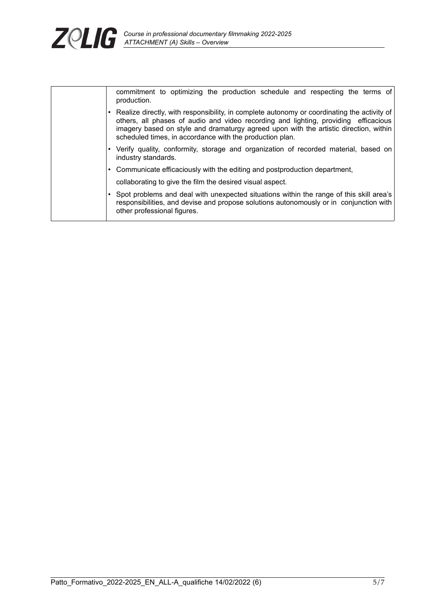

|                                                           | commitment to optimizing the production schedule and respecting the terms of<br>production.                                                                                                                                                                                                                                             |  |  |  |
|-----------------------------------------------------------|-----------------------------------------------------------------------------------------------------------------------------------------------------------------------------------------------------------------------------------------------------------------------------------------------------------------------------------------|--|--|--|
|                                                           | Realize directly, with responsibility, in complete autonomy or coordinating the activity of<br>others, all phases of audio and video recording and lighting, providing efficacious<br>imagery based on style and dramaturgy agreed upon with the artistic direction, within<br>scheduled times, in accordance with the production plan. |  |  |  |
|                                                           | Verify quality, conformity, storage and organization of recorded material, based on<br>industry standards.                                                                                                                                                                                                                              |  |  |  |
|                                                           | Communicate efficaciously with the editing and postproduction department,                                                                                                                                                                                                                                                               |  |  |  |
| collaborating to give the film the desired visual aspect. |                                                                                                                                                                                                                                                                                                                                         |  |  |  |
|                                                           | Spot problems and deal with unexpected situations within the range of this skill area's<br>responsibilities, and devise and propose solutions autonomously or in conjunction with<br>other professional figures.                                                                                                                        |  |  |  |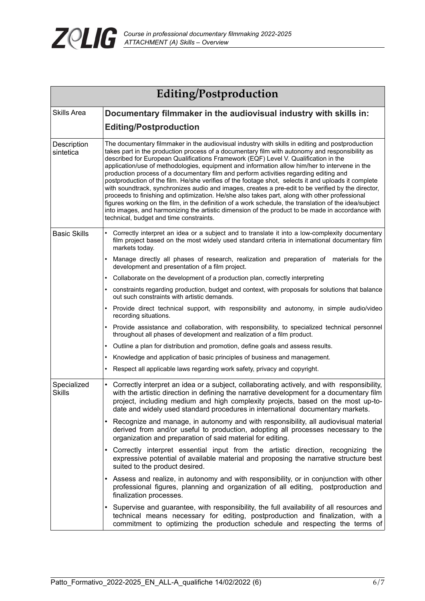

| Editing/Postproduction                                                                  |                                                                                                                                                                                                                                                                                                                                                                                                                                                                                                                                                                                                                                                                                                                                                                                                                                                                                                                                                                                                                                                           |  |  |  |  |
|-----------------------------------------------------------------------------------------|-----------------------------------------------------------------------------------------------------------------------------------------------------------------------------------------------------------------------------------------------------------------------------------------------------------------------------------------------------------------------------------------------------------------------------------------------------------------------------------------------------------------------------------------------------------------------------------------------------------------------------------------------------------------------------------------------------------------------------------------------------------------------------------------------------------------------------------------------------------------------------------------------------------------------------------------------------------------------------------------------------------------------------------------------------------|--|--|--|--|
| <b>Skills Area</b><br>Documentary filmmaker in the audiovisual industry with skills in: |                                                                                                                                                                                                                                                                                                                                                                                                                                                                                                                                                                                                                                                                                                                                                                                                                                                                                                                                                                                                                                                           |  |  |  |  |
|                                                                                         | <b>Editing/Postproduction</b>                                                                                                                                                                                                                                                                                                                                                                                                                                                                                                                                                                                                                                                                                                                                                                                                                                                                                                                                                                                                                             |  |  |  |  |
| Description<br>sintetica                                                                | The documentary filmmaker in the audiovisual industry with skills in editing and postproduction<br>takes part in the production process of a documentary film with autonomy and responsibility as<br>described for European Qualifications Framework (EQF) Level V. Qualification in the<br>application/use of methodologies, equipment and information allow him/her to intervene in the<br>production process of a documentary film and perform activities regarding editing and<br>postproduction of the film. He/she verifies of the footage shot, selects it and uploads it complete<br>with soundtrack, synchronizes audio and images, creates a pre-edit to be verified by the director,<br>proceeds to finishing and optimization. He/she also takes part, along with other professional<br>figures working on the film, in the definition of a work schedule, the translation of the idea/subject<br>into images, and harmonizing the artistic dimension of the product to be made in accordance with<br>technical, budget and time constraints. |  |  |  |  |
| <b>Basic Skills</b>                                                                     | Correctly interpret an idea or a subject and to translate it into a low-complexity documentary<br>film project based on the most widely used standard criteria in international documentary film<br>markets today.                                                                                                                                                                                                                                                                                                                                                                                                                                                                                                                                                                                                                                                                                                                                                                                                                                        |  |  |  |  |
|                                                                                         | Manage directly all phases of research, realization and preparation of materials for the<br>development and presentation of a film project.                                                                                                                                                                                                                                                                                                                                                                                                                                                                                                                                                                                                                                                                                                                                                                                                                                                                                                               |  |  |  |  |
|                                                                                         | Collaborate on the development of a production plan, correctly interpreting                                                                                                                                                                                                                                                                                                                                                                                                                                                                                                                                                                                                                                                                                                                                                                                                                                                                                                                                                                               |  |  |  |  |
|                                                                                         | constraints regarding production, budget and context, with proposals for solutions that balance<br>out such constraints with artistic demands.                                                                                                                                                                                                                                                                                                                                                                                                                                                                                                                                                                                                                                                                                                                                                                                                                                                                                                            |  |  |  |  |
|                                                                                         | Provide direct technical support, with responsibility and autonomy, in simple audio/video<br>recording situations.                                                                                                                                                                                                                                                                                                                                                                                                                                                                                                                                                                                                                                                                                                                                                                                                                                                                                                                                        |  |  |  |  |
|                                                                                         | Provide assistance and collaboration, with responsibility, to specialized technical personnel<br>throughout all phases of development and realization of a film product.                                                                                                                                                                                                                                                                                                                                                                                                                                                                                                                                                                                                                                                                                                                                                                                                                                                                                  |  |  |  |  |
|                                                                                         | Outline a plan for distribution and promotion, define goals and assess results.<br>$\bullet$                                                                                                                                                                                                                                                                                                                                                                                                                                                                                                                                                                                                                                                                                                                                                                                                                                                                                                                                                              |  |  |  |  |
|                                                                                         | Knowledge and application of basic principles of business and management.                                                                                                                                                                                                                                                                                                                                                                                                                                                                                                                                                                                                                                                                                                                                                                                                                                                                                                                                                                                 |  |  |  |  |
|                                                                                         | Respect all applicable laws regarding work safety, privacy and copyright.                                                                                                                                                                                                                                                                                                                                                                                                                                                                                                                                                                                                                                                                                                                                                                                                                                                                                                                                                                                 |  |  |  |  |
| Specialized<br><b>Skills</b>                                                            | Correctly interpret an idea or a subject, collaborating actively, and with responsibility,<br>$\bullet$<br>with the artistic direction in defining the narrative development for a documentary film<br>project, including medium and high complexity projects, based on the most up-to-<br>date and widely used standard procedures in international documentary markets.                                                                                                                                                                                                                                                                                                                                                                                                                                                                                                                                                                                                                                                                                 |  |  |  |  |
|                                                                                         | Recognize and manage, in autonomy and with responsibility, all audiovisual material<br>derived from and/or useful to production, adopting all processes necessary to the<br>organization and preparation of said material for editing.                                                                                                                                                                                                                                                                                                                                                                                                                                                                                                                                                                                                                                                                                                                                                                                                                    |  |  |  |  |
|                                                                                         | Correctly interpret essential input from the artistic direction, recognizing the<br>expressive potential of available material and proposing the narrative structure best<br>suited to the product desired.                                                                                                                                                                                                                                                                                                                                                                                                                                                                                                                                                                                                                                                                                                                                                                                                                                               |  |  |  |  |
|                                                                                         | Assess and realize, in autonomy and with responsibility, or in conjunction with other<br>professional figures, planning and organization of all editing, postproduction and<br>finalization processes.                                                                                                                                                                                                                                                                                                                                                                                                                                                                                                                                                                                                                                                                                                                                                                                                                                                    |  |  |  |  |
|                                                                                         | Supervise and guarantee, with responsibility, the full availability of all resources and<br>technical means necessary for editing, postproduction and finalization, with a<br>commitment to optimizing the production schedule and respecting the terms of                                                                                                                                                                                                                                                                                                                                                                                                                                                                                                                                                                                                                                                                                                                                                                                                |  |  |  |  |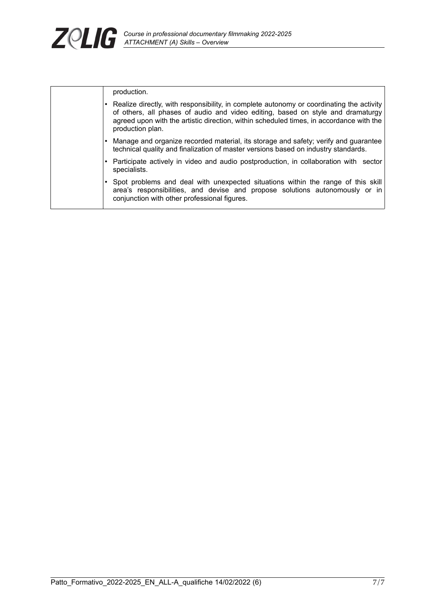

| production.                                                                                                                                                                                                                                                                                  |  |
|----------------------------------------------------------------------------------------------------------------------------------------------------------------------------------------------------------------------------------------------------------------------------------------------|--|
| • Realize directly, with responsibility, in complete autonomy or coordinating the activity<br>of others, all phases of audio and video editing, based on style and dramaturgy<br>agreed upon with the artistic direction, within scheduled times, in accordance with the<br>production plan. |  |
| • Manage and organize recorded material, its storage and safety; verify and guarantee<br>technical quality and finalization of master versions based on industry standards.                                                                                                                  |  |
| • Participate actively in video and audio postproduction, in collaboration with sector<br>specialists.                                                                                                                                                                                       |  |
| Spot problems and deal with unexpected situations within the range of this skill<br>area's responsibilities, and devise and propose solutions autonomously or in<br>conjunction with other professional figures.                                                                             |  |
|                                                                                                                                                                                                                                                                                              |  |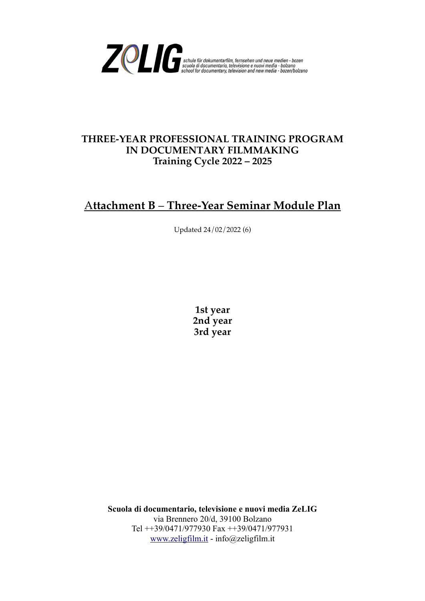

### **THREE-YEAR PROFESSIONAL TRAINING PROGRAM IN DOCUMENTARY FILMMAKING Training Cycle 2022 – 2025**

## A**ttachment B** – **Three-Year Seminar Module Plan**

Updated 24/02/2022 (6)

**1st year 2nd year 3rd year**

**Scuola di documentario, televisione e nuovi media ZeLIG** via Brennero 20/d, 39100 Bolzano Tel ++39/0471/977930 Fax ++39/0471/977931 [www.zeligfilm.it](http://www.zeligfilm.it/) - info@zeligfilm.it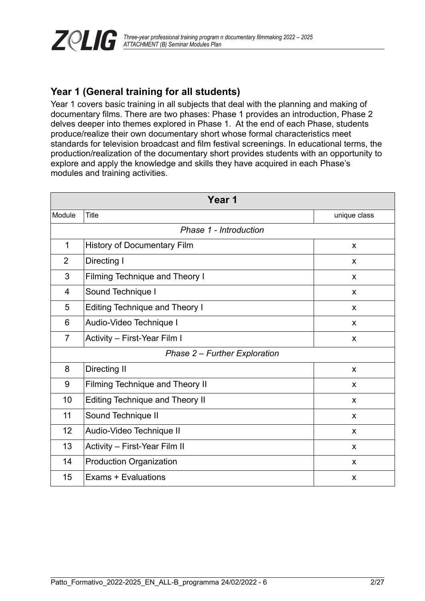

## **Year 1 (General training for all students)**

Year 1 covers basic training in all subjects that deal with the planning and making of documentary films. There are two phases: Phase 1 provides an introduction, Phase 2 delves deeper into themes explored in Phase 1. At the end of each Phase, students produce/realize their own documentary short whose formal characteristics meet standards for television broadcast and film festival screenings. In educational terms, the production/realization of the documentary short provides students with an opportunity to explore and apply the knowledge and skills they have acquired in each Phase's modules and training activities.

| Year 1         |                                        |              |  |  |  |
|----------------|----------------------------------------|--------------|--|--|--|
| Module         | <b>Title</b>                           | unique class |  |  |  |
|                | Phase 1 - Introduction                 |              |  |  |  |
| $\mathbf{1}$   | <b>History of Documentary Film</b>     | X            |  |  |  |
| $\overline{2}$ | Directing I                            | X            |  |  |  |
| 3              | <b>Filming Technique and Theory I</b>  | X            |  |  |  |
| $\overline{4}$ | Sound Technique I                      | X            |  |  |  |
| 5              | <b>Editing Technique and Theory I</b>  | X            |  |  |  |
| 6              | Audio-Video Technique I                | X            |  |  |  |
| $\overline{7}$ | Activity - First-Year Film I           | X            |  |  |  |
|                | Phase 2 - Further Exploration          |              |  |  |  |
| 8              | Directing II                           | $\mathsf{x}$ |  |  |  |
| 9              | Filming Technique and Theory II        | X            |  |  |  |
| 10             | <b>Editing Technique and Theory II</b> | $\mathsf{x}$ |  |  |  |
| 11             | Sound Technique II                     | X            |  |  |  |
| 12             | Audio-Video Technique II               | X            |  |  |  |
| 13             | Activity - First-Year Film II          | X            |  |  |  |
| 14             | <b>Production Organization</b>         | X            |  |  |  |
| 15             | Exams + Evaluations                    | X            |  |  |  |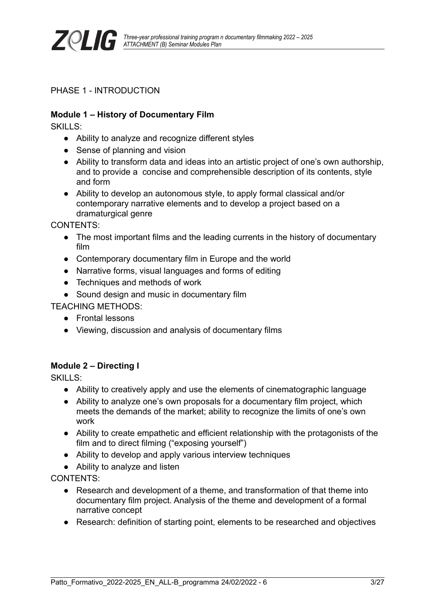

PHASE 1 - INTRODUCTION

#### **Module 1 – History of Documentary Film**

SKILLS:

- Ability to analyze and recognize different styles
- Sense of planning and vision
- Ability to transform data and ideas into an artistic project of one's own authorship, and to provide a concise and comprehensible description of its contents, style and form
- Ability to develop an autonomous style, to apply formal classical and/or contemporary narrative elements and to develop a project based on a dramaturgical genre

CONTENTS:

- The most important films and the leading currents in the history of documentary film
- Contemporary documentary film in Europe and the world
- Narrative forms, visual languages and forms of editing
- Techniques and methods of work
- Sound design and music in documentary film

TEACHING METHODS:

- Frontal lessons
- Viewing, discussion and analysis of documentary films

#### **Module 2 – Directing I**

SKILLS:

- Ability to creatively apply and use the elements of cinematographic language
- Ability to analyze one's own proposals for a documentary film project, which meets the demands of the market; ability to recognize the limits of one's own work
- Ability to create empathetic and efficient relationship with the protagonists of the film and to direct filming ("exposing yourself")
- Ability to develop and apply various interview techniques
- Ability to analyze and listen

CONTENTS:

- Research and development of a theme, and transformation of that theme into documentary film project. Analysis of the theme and development of a formal narrative concept
- Research: definition of starting point, elements to be researched and objectives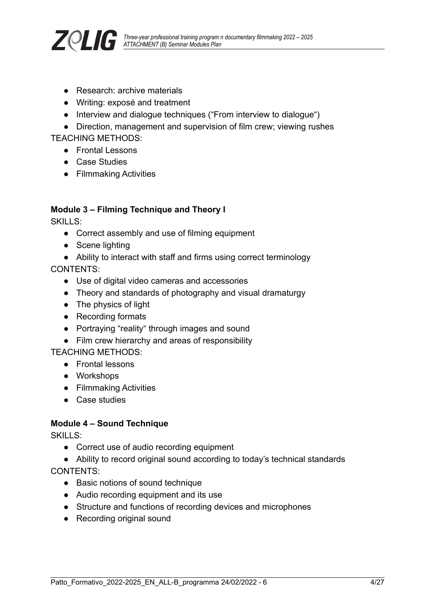

- Research: archive materials
- Writing: exposé and treatment
- Interview and dialogue techniques ("From interview to dialogue")

• Direction, management and supervision of film crew; viewing rushes TEACHING METHODS:

- Frontal Lessons
- Case Studies
- Filmmaking Activities

#### **Module 3 – Filming Technique and Theory I**

SKILLS:

- Correct assembly and use of filming equipment
- Scene lighting
- Ability to interact with staff and firms using correct terminology

CONTENTS:

- Use of digital video cameras and accessories
- Theory and standards of photography and visual dramaturgy
- The physics of light
- Recording formats
- Portraying "reality" through images and sound
- Film crew hierarchy and areas of responsibility

TEACHING METHODS:

- Frontal lessons
- Workshops
- Filmmaking Activities
- Case studies

#### **Module 4 – Sound Technique**

SKILLS:

- Correct use of audio recording equipment
- Ability to record original sound according to today's technical standards CONTENTS:
	- Basic notions of sound technique
	- Audio recording equipment and its use
	- Structure and functions of recording devices and microphones
	- Recording original sound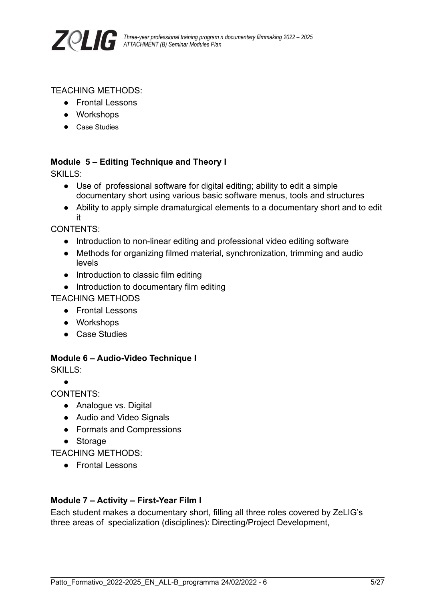

#### TEACHING METHODS:

- Frontal Lessons
- Workshops
- Case Studies

#### **Module 5 – Editing Technique and Theory I**

SKILLS:

- Use of professional software for digital editing; ability to edit a simple documentary short using various basic software menus, tools and structures
- Ability to apply simple dramaturgical elements to a documentary short and to edit it

CONTENTS:

- Introduction to non-linear editing and professional video editing software
- Methods for organizing filmed material, synchronization, trimming and audio levels
- Introduction to classic film editing
- Introduction to documentary film editing

TEACHING METHODS

- Frontal Lessons
- Workshops
- Case Studies

#### **Module 6 – Audio-Video Technique I**

SKILLS:

●

CONTENTS:

- Analogue vs. Digital
- Audio and Video Signals
- Formats and Compressions
- Storage

TEACHING METHODS:

● Frontal Lessons

#### **Module 7 – Activity – First-Year Film I**

Each student makes a documentary short, filling all three roles covered by ZeLIG's three areas of specialization (disciplines): Directing/Project Development,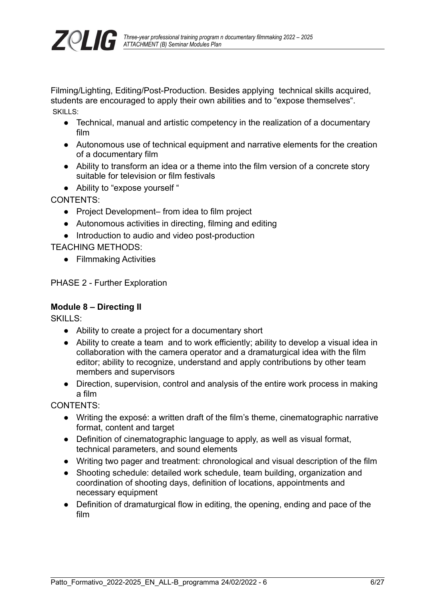

Filming/Lighting, Editing/Post-Production. Besides applying technical skills acquired, students are encouraged to apply their own abilities and to "expose themselves". SKILLS:

- Technical, manual and artistic competency in the realization of a documentary film
- Autonomous use of technical equipment and narrative elements for the creation of a documentary film
- Ability to transform an idea or a theme into the film version of a concrete story suitable for television or film festivals
- Ability to "expose yourself "

CONTENTS:

- Project Development– from idea to film project
- Autonomous activities in directing, filming and editing
- Introduction to audio and video post-production

TEACHING METHODS:

● Filmmaking Activities

PHASE 2 - Further Exploration

#### **Module 8 – Directing II**

SKILLS:

- Ability to create a project for a documentary short
- Ability to create a team and to work efficiently; ability to develop a visual idea in collaboration with the camera operator and a dramaturgical idea with the film editor; ability to recognize, understand and apply contributions by other team members and supervisors
- Direction, supervision, control and analysis of the entire work process in making a film

CONTENTS:

- Writing the exposé: a written draft of the film's theme, cinematographic narrative format, content and target
- Definition of cinematographic language to apply, as well as visual format, technical parameters, and sound elements
- Writing two pager and treatment: chronological and visual description of the film
- Shooting schedule: detailed work schedule, team building, organization and coordination of shooting days, definition of locations, appointments and necessary equipment
- Definition of dramaturgical flow in editing, the opening, ending and pace of the film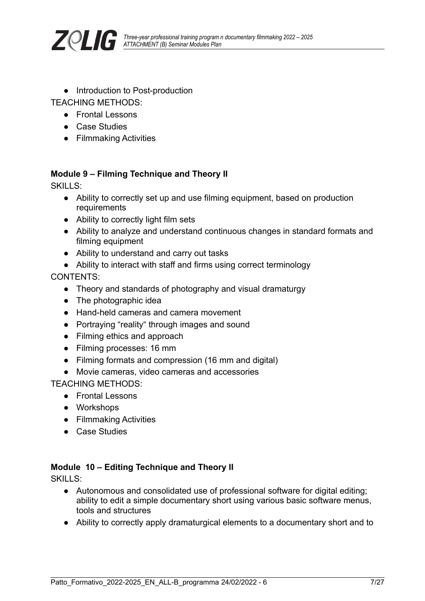

● Introduction to Post-production

TEACHING METHODS:

- Frontal Lessons
- Case Studies
- Filmmaking Activities

#### **Module 9 – Filming Technique and Theory II**

SKILLS:

- Ability to correctly set up and use filming equipment, based on production requirements
- Ability to correctly light film sets
- Ability to analyze and understand continuous changes in standard formats and filming equipment
- Ability to understand and carry out tasks
- Ability to interact with staff and firms using correct terminology

CONTENTS:

- Theory and standards of photography and visual dramaturgy
- The photographic idea
- Hand-held cameras and camera movement
- Portraying "reality" through images and sound
- Filming ethics and approach
- Filming processes: 16 mm
- Filming formats and compression (16 mm and digital)
- Movie cameras, video cameras and accessories

TEACHING METHODS:

- Frontal Lessons
- Workshops
- Filmmaking Activities
- Case Studies

#### **Module 10 – Editing Technique and Theory II**

SKILLS:

- Autonomous and consolidated use of professional software for digital editing; ability to edit a simple documentary short using various basic software menus, tools and structures
- Ability to correctly apply dramaturgical elements to a documentary short and to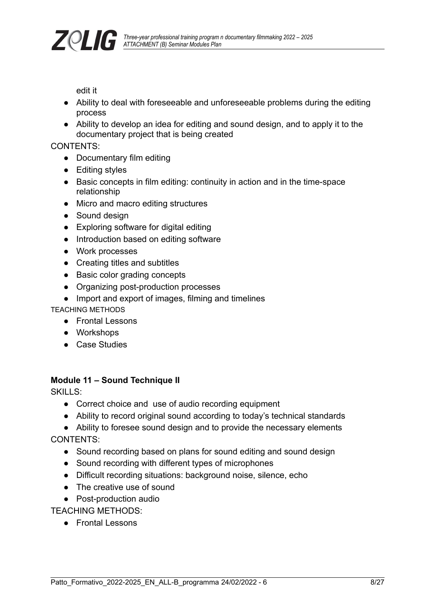

edit it

- Ability to deal with foreseeable and unforeseeable problems during the editing process
- Ability to develop an idea for editing and sound design, and to apply it to the documentary project that is being created

#### CONTENTS:

- Documentary film editing
- Editing styles
- Basic concepts in film editing: continuity in action and in the time-space relationship
- Micro and macro editing structures
- Sound design
- Exploring software for digital editing
- Introduction based on editing software
- Work processes
- Creating titles and subtitles
- Basic color grading concepts
- Organizing post-production processes
- Import and export of images, filming and timelines

TEACHING METHODS

- Frontal Lessons
- Workshops
- Case Studies

### **Module 11 – Sound Technique II**

SKILLS:

- Correct choice and use of audio recording equipment
- Ability to record original sound according to today's technical standards
- Ability to foresee sound design and to provide the necessary elements CONTENTS:
	- Sound recording based on plans for sound editing and sound design
	- Sound recording with different types of microphones
	- Difficult recording situations: background noise, silence, echo
	- The creative use of sound
	- Post-production audio

TEACHING METHODS:

● Frontal Lessons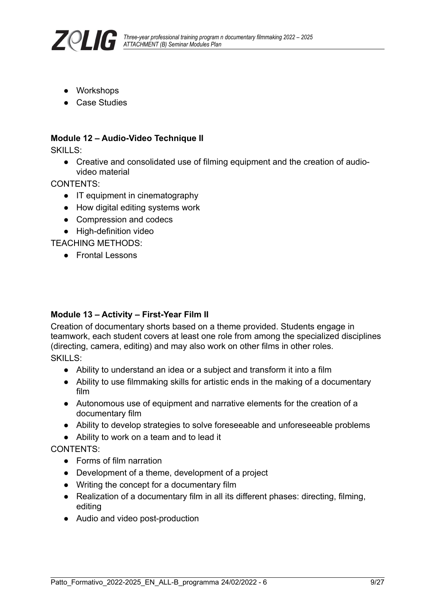

- Workshops
- Case Studies

#### **Module 12 – Audio-Video Technique II**

SKILLS:

● Creative and consolidated use of filming equipment and the creation of audiovideo material

CONTENTS:

- IT equipment in cinematography
- How digital editing systems work
- Compression and codecs
- High-definition video

TEACHING METHODS:

● Frontal Lessons

#### **Module 13 – Activity – First-Year Film II**

Creation of documentary shorts based on a theme provided. Students engage in teamwork, each student covers at least one role from among the specialized disciplines (directing, camera, editing) and may also work on other films in other roles.

SKILLS:

- Ability to understand an idea or a subject and transform it into a film
- Ability to use filmmaking skills for artistic ends in the making of a documentary film
- Autonomous use of equipment and narrative elements for the creation of a documentary film
- Ability to develop strategies to solve foreseeable and unforeseeable problems
- Ability to work on a team and to lead it

#### CONTENTS:

- Forms of film narration
- Development of a theme, development of a project
- Writing the concept for a documentary film
- Realization of a documentary film in all its different phases: directing, filming, editing
- Audio and video post-production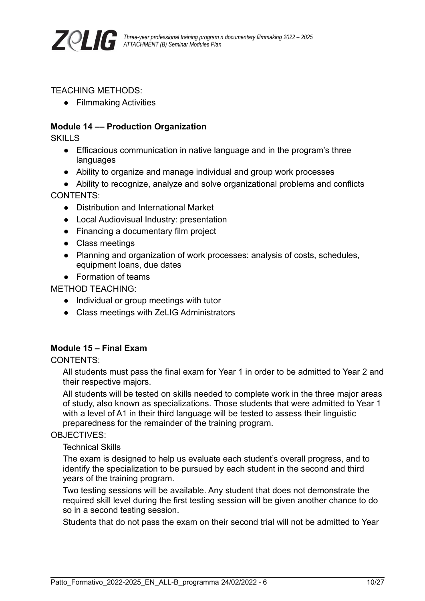

#### TEACHING METHODS:

● Filmmaking Activities

#### **Module 14 –– Production Organization**

**SKILLS** 

- Efficacious communication in native language and in the program's three languages
- Ability to organize and manage individual and group work processes
- Ability to recognize, analyze and solve organizational problems and conflicts CONTENTS:
	- Distribution and International Market
	- Local Audiovisual Industry: presentation
	- Financing a documentary film project
	- Class meetings
	- Planning and organization of work processes: analysis of costs, schedules, equipment loans, due dates
	- Formation of teams

METHOD TEACHING:

- Individual or group meetings with tutor
- Class meetings with ZeLIG Administrators

#### **Module 15 – Final Exam**

CONTENTS:

All students must pass the final exam for Year 1 in order to be admitted to Year 2 and their respective majors.

All students will be tested on skills needed to complete work in the three major areas of study, also known as specializations. Those students that were admitted to Year 1 with a level of A1 in their third language will be tested to assess their linguistic preparedness for the remainder of the training program.

#### OBJECTIVES:

Technical Skills

The exam is designed to help us evaluate each student's overall progress, and to identify the specialization to be pursued by each student in the second and third years of the training program.

Two testing sessions will be available. Any student that does not demonstrate the required skill level during the first testing session will be given another chance to do so in a second testing session.

Students that do not pass the exam on their second trial will not be admitted to Year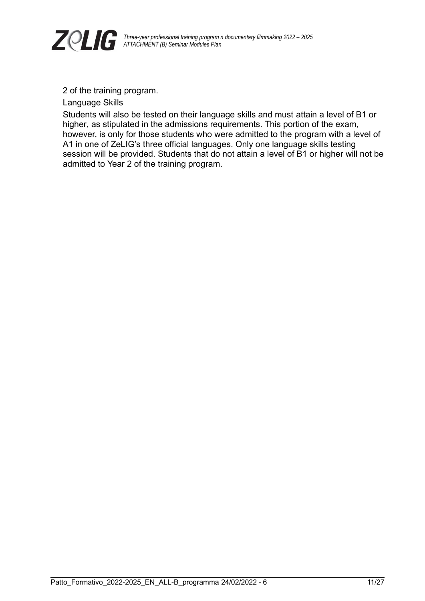

2 of the training program.

Language Skills

Students will also be tested on their language skills and must attain a level of B1 or higher, as stipulated in the admissions requirements. This portion of the exam, however, is only for those students who were admitted to the program with a level of A1 in one of ZeLIG's three official languages. Only one language skills testing session will be provided. Students that do not attain a level of B1 or higher will not be admitted to Year 2 of the training program.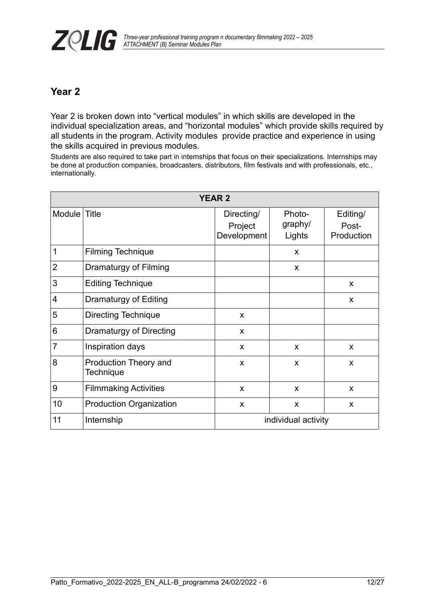## **Year 2**

Year 2 is broken down into "vertical modules" in which skills are developed in the individual specialization areas, and "horizontal modules" which provide skills required by all students in the program. Activity modules provide practice and experience in using the skills acquired in previous modules.

Students are also required to take part in internships that focus on their specializations. Internships may be done at production companies, broadcasters, distributors, film festivals and with professionals, etc., internationally.

| <b>YEAR 2</b>  |                                           |                                      |                             |                                 |  |
|----------------|-------------------------------------------|--------------------------------------|-----------------------------|---------------------------------|--|
| Module Title   |                                           | Directing/<br>Project<br>Development | Photo-<br>graphy/<br>Lights | Editing/<br>Post-<br>Production |  |
| 1              | <b>Filming Technique</b>                  |                                      | X                           |                                 |  |
| $\overline{2}$ | Dramaturgy of Filming                     |                                      | X                           |                                 |  |
| 3              | <b>Editing Technique</b>                  |                                      |                             | X                               |  |
| $\overline{4}$ | Dramaturgy of Editing                     |                                      |                             | X                               |  |
| 5              | <b>Directing Technique</b>                | X                                    |                             |                                 |  |
| 6              | Dramaturgy of Directing                   | X                                    |                             |                                 |  |
| $\overline{7}$ | Inspiration days                          | X                                    | X                           | X                               |  |
| 8              | Production Theory and<br><b>Technique</b> | X                                    | X                           | X                               |  |
| 9              | <b>Filmmaking Activities</b>              | X                                    | X                           | X                               |  |
| 10             | <b>Production Organization</b>            | X                                    | X                           | X                               |  |
| 11             | Internship                                | individual activity                  |                             |                                 |  |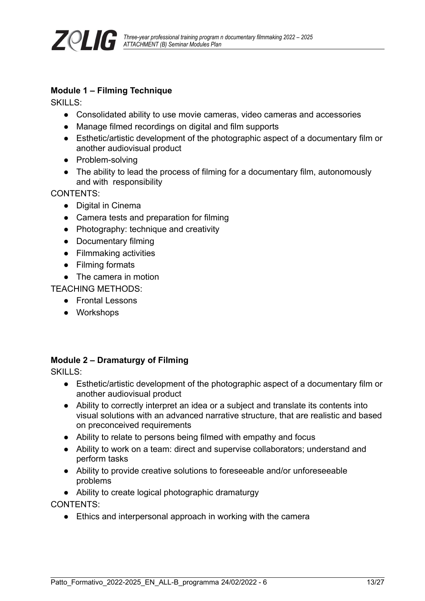

#### **Module 1 – Filming Technique**

SKILLS:

- Consolidated ability to use movie cameras, video cameras and accessories
- Manage filmed recordings on digital and film supports
- Esthetic/artistic development of the photographic aspect of a documentary film or another audiovisual product
- Problem-solving
- The ability to lead the process of filming for a documentary film, autonomously and with responsibility

CONTENTS:

- Digital in Cinema
- Camera tests and preparation for filming
- Photography: technique and creativity
- Documentary filming
- Filmmaking activities
- Filming formats
- The camera in motion

TEACHING METHODS:

- Frontal Lessons
- Workshops

### **Module 2 – Dramaturgy of Filming**

SKILLS:

- Esthetic/artistic development of the photographic aspect of a documentary film or another audiovisual product
- Ability to correctly interpret an idea or a subject and translate its contents into visual solutions with an advanced narrative structure, that are realistic and based on preconceived requirements
- Ability to relate to persons being filmed with empathy and focus
- Ability to work on a team: direct and supervise collaborators; understand and perform tasks
- Ability to provide creative solutions to foreseeable and/or unforeseeable problems
- Ability to create logical photographic dramaturgy

CONTENTS:

• Ethics and interpersonal approach in working with the camera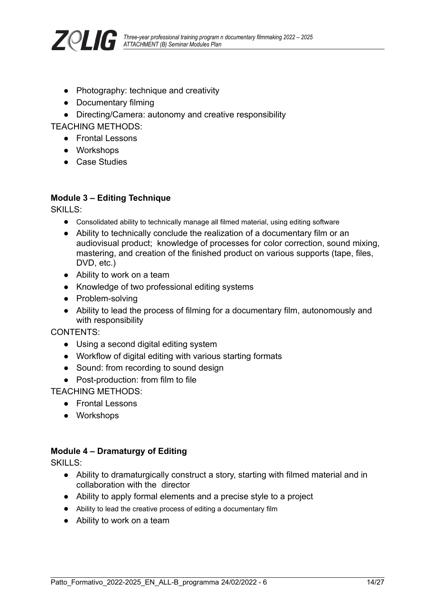

- Photography: technique and creativity
- Documentary filming
- Directing/Camera: autonomy and creative responsibility

TEACHING METHODS:

- Frontal Lessons
- Workshops
- Case Studies

#### **Module 3 – Editing Technique**

SKILLS:

- Consolidated ability to technically manage all filmed material, using editing software
- Ability to technically conclude the realization of a documentary film or an audiovisual product; knowledge of processes for color correction, sound mixing, mastering, and creation of the finished product on various supports (tape, files, DVD, etc.)
- Ability to work on a team
- Knowledge of two professional editing systems
- Problem-solving
- Ability to lead the process of filming for a documentary film, autonomously and with responsibility

CONTENTS:

- Using a second digital editing system
- Workflow of digital editing with various starting formats
- Sound: from recording to sound design
- Post-production: from film to file

TEACHING METHODS:

- Frontal Lessons
- Workshops

#### **Module 4 – Dramaturgy of Editing**

SKILLS:

- Ability to dramaturgically construct a story, starting with filmed material and in collaboration with the director
- Ability to apply formal elements and a precise style to a project
- Ability to lead the creative process of editing a documentary film
- Ability to work on a team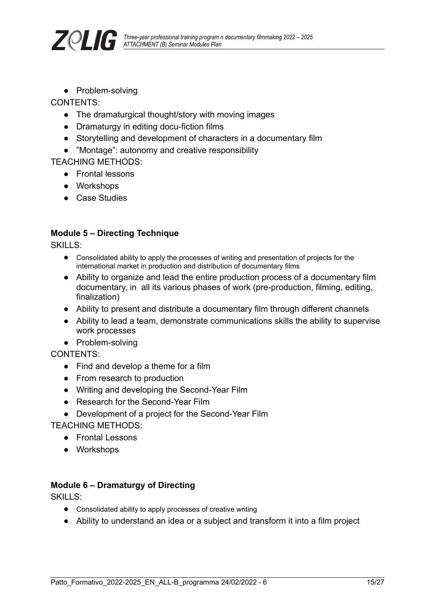

● Problem-solving

CONTENTS:

- The dramaturgical thought/story with moving images
- Dramaturgy in editing docu-fiction films
- Storytelling and development of characters in a documentary film
- "Montage": autonomy and creative responsibility

TEACHING METHODS:

- Frontal lessons
- Workshops
- Case Studies

#### **Module 5 – Directing Technique**

SKILLS:

- Consolidated ability to apply the processes of writing and presentation of projects for the international market in production and distribution of documentary films
- Ability to organize and lead the entire production process of a documentary film documentary, in all its various phases of work (pre-production, filming, editing, finalization)
- Ability to present and distribute a documentary film through different channels
- Ability to lead a team, demonstrate communications skills the ability to supervise work processes
- Problem-solving

CONTENTS:

- Find and develop a theme for a film
- From research to production
- Writing and developing the Second-Year Film
- Research for the Second-Year Film
- Development of a project for the Second-Year Film

TEACHING METHODS:

- Frontal Lessons
- Workshops

#### **Module 6 – Dramaturgy of Directing**

SKILLS:

- Consolidated ability to apply processes of creative writing
- Ability to understand an idea or a subject and transform it into a film project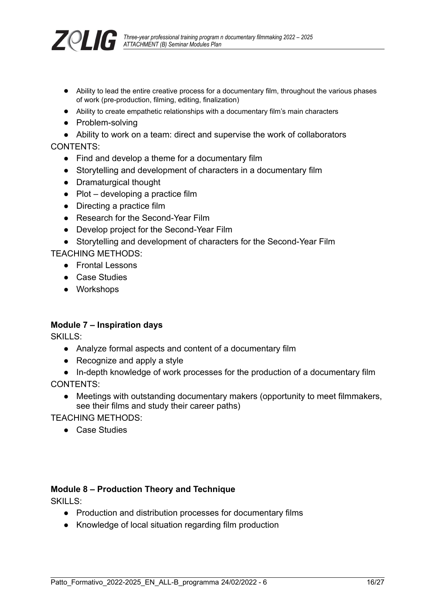

- Ability to lead the entire creative process for a documentary film, throughout the various phases of work (pre-production, filming, editing, finalization)
- Ability to create empathetic relationships with a documentary film's main characters
- Problem-solving

● Ability to work on a team: direct and supervise the work of collaborators CONTENTS:

- Find and develop a theme for a documentary film
- Storytelling and development of characters in a documentary film
- Dramaturgical thought
- $\bullet$  Plot developing a practice film
- Directing a practice film
- Research for the Second-Year Film
- Develop project for the Second-Year Film
- Storytelling and development of characters for the Second-Year Film

TEACHING METHODS:

- Frontal Lessons
- Case Studies
- Workshops

#### **Module 7 – Inspiration days**

SKILLS:

- Analyze formal aspects and content of a documentary film
- Recognize and apply a style
- In-depth knowledge of work processes for the production of a documentary film

CONTENTS:

● Meetings with outstanding documentary makers (opportunity to meet filmmakers, see their films and study their career paths)

TEACHING METHODS:

● Case Studies

#### **Module 8 – Production Theory and Technique**

SKILLS<sup>:</sup>

- Production and distribution processes for documentary films
- Knowledge of local situation regarding film production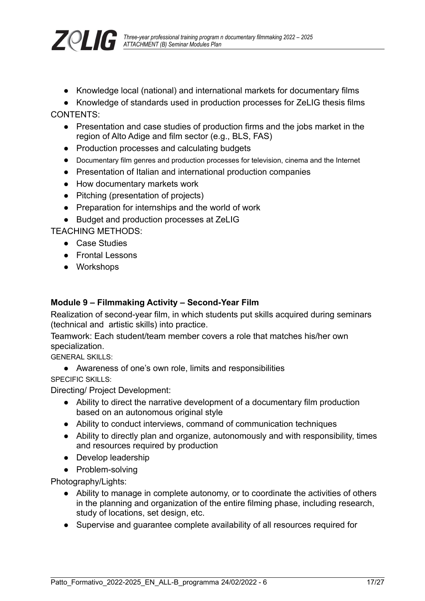

● Knowledge local (national) and international markets for documentary films

● Knowledge of standards used in production processes for ZeLIG thesis films CONTENTS:

- Presentation and case studies of production firms and the jobs market in the region of Alto Adige and film sector (e.g., BLS, FAS)
- Production processes and calculating budgets
- Documentary film genres and production processes for television, cinema and the Internet
- Presentation of Italian and international production companies
- How documentary markets work
- Pitching (presentation of projects)
- Preparation for internships and the world of work
- Budget and production processes at ZeLIG

TEACHING METHODS:

- Case Studies
- Frontal Lessons
- Workshops

#### **Module 9 – Filmmaking Activity – Second-Year Film**

Realization of second-year film, in which students put skills acquired during seminars (technical and artistic skills) into practice.

Teamwork: Each student/team member covers a role that matches his/her own specialization.

GENERAL SKILLS:

● Awareness of one's own role, limits and responsibilities SPECIFIC SKILLS:

Directing/ Project Development:

- Ability to direct the narrative development of a documentary film production based on an autonomous original style
- Ability to conduct interviews, command of communication techniques
- Ability to directly plan and organize, autonomously and with responsibility, times and resources required by production
- Develop leadership
- Problem-solving

Photography/Lights:

- Ability to manage in complete autonomy, or to coordinate the activities of others in the planning and organization of the entire filming phase, including research, study of locations, set design, etc.
- Supervise and guarantee complete availability of all resources required for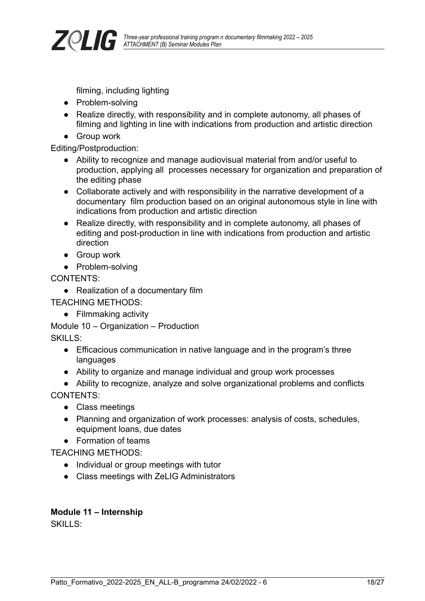

filming, including lighting

- Problem-solving
- Realize directly, with responsibility and in complete autonomy, all phases of filming and lighting in line with indications from production and artistic direction
- Group work

Editing/Postproduction:

- Ability to recognize and manage audiovisual material from and/or useful to production, applying all processes necessary for organization and preparation of the editing phase
- Collaborate actively and with responsibility in the narrative development of a documentary film production based on an original autonomous style in line with indications from production and artistic direction
- Realize directly, with responsibility and in complete autonomy, all phases of editing and post-production in line with indications from production and artistic direction
- Group work
- Problem-solving

CONTENTS:

● Realization of a documentary film

TEACHING METHODS:

● Filmmaking activity

Module 10 – Organization – Production SKILLS:

- Efficacious communication in native language and in the program's three languages
- Ability to organize and manage individual and group work processes
- Ability to recognize, analyze and solve organizational problems and conflicts CONTENTS:
	- Class meetings
	- Planning and organization of work processes: analysis of costs, schedules, equipment loans, due dates
	- Formation of teams

TEACHING METHODS:

- Individual or group meetings with tutor
- Class meetings with ZeLIG Administrators

### **Module 11 – Internship**

SKILLS: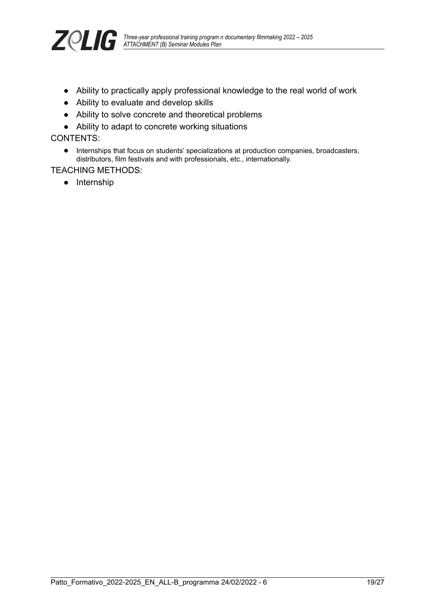

- Ability to practically apply professional knowledge to the real world of work
- Ability to evaluate and develop skills
- Ability to solve concrete and theoretical problems
- Ability to adapt to concrete working situations

CONTENTS:

● Internships that focus on students' specializations at production companies, broadcasters, distributors, film festivals and with professionals, etc., internationally.

#### TEACHING METHODS:

● Internship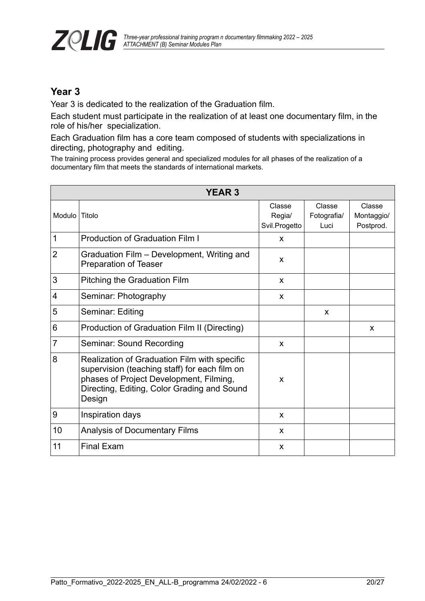

## **Year 3**

Year 3 is dedicated to the realization of the Graduation film.

Each student must participate in the realization of at least one documentary film, in the role of his/her specialization.

Each Graduation film has a core team composed of students with specializations in directing, photography and editing.

The training process provides general and specialized modules for all phases of the realization of a documentary film that meets the standards of international markets.

| <b>YEAR 3</b>  |                                                                                                                                                                                                   |                                   |                               |                                   |
|----------------|---------------------------------------------------------------------------------------------------------------------------------------------------------------------------------------------------|-----------------------------------|-------------------------------|-----------------------------------|
| <b>Modulo</b>  | ∣ Titolo                                                                                                                                                                                          | Classe<br>Regia/<br>Svil.Progetto | Classe<br>Fotografia/<br>Luci | Classe<br>Montaggio/<br>Postprod. |
| $\mathbf 1$    | <b>Production of Graduation Film I</b>                                                                                                                                                            | X                                 |                               |                                   |
| $\overline{2}$ | Graduation Film – Development, Writing and<br><b>Preparation of Teaser</b>                                                                                                                        | X                                 |                               |                                   |
| 3              | <b>Pitching the Graduation Film</b>                                                                                                                                                               | X                                 |                               |                                   |
| $\overline{4}$ | Seminar: Photography                                                                                                                                                                              | X                                 |                               |                                   |
| 5              | Seminar: Editing                                                                                                                                                                                  |                                   | X                             |                                   |
| 6              | Production of Graduation Film II (Directing)                                                                                                                                                      |                                   |                               | X                                 |
| $\overline{7}$ | Seminar: Sound Recording                                                                                                                                                                          | X                                 |                               |                                   |
| 8              | Realization of Graduation Film with specific<br>supervision (teaching staff) for each film on<br>phases of Project Development, Filming,<br>Directing, Editing, Color Grading and Sound<br>Design | X                                 |                               |                                   |
| $9\,$          | Inspiration days                                                                                                                                                                                  | X                                 |                               |                                   |
| 10             | Analysis of Documentary Films                                                                                                                                                                     | X                                 |                               |                                   |
| 11             | <b>Final Exam</b>                                                                                                                                                                                 | X                                 |                               |                                   |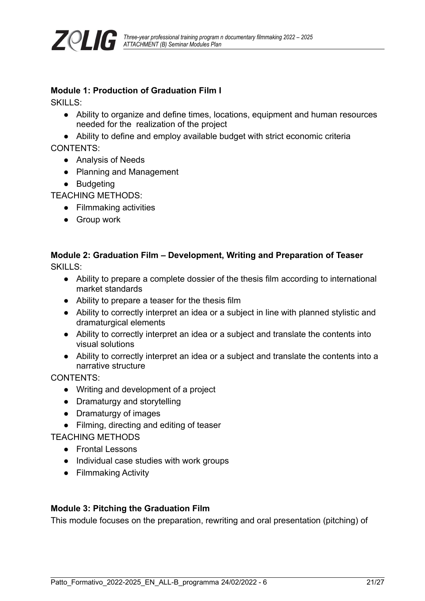

#### **Module 1: Production of Graduation Film I**

SKILLS:

- Ability to organize and define times, locations, equipment and human resources needed for the realization of the project
- Ability to define and employ available budget with strict economic criteria

CONTENTS:

- Analysis of Needs
- Planning and Management
- Budgeting

TEACHING METHODS:

- Filmmaking activities
- Group work

# **Module 2: Graduation Film – Development, Writing and Preparation of Teaser**

SKILLS:

- Ability to prepare a complete dossier of the thesis film according to international market standards
- Ability to prepare a teaser for the thesis film
- Ability to correctly interpret an idea or a subject in line with planned stylistic and dramaturgical elements
- Ability to correctly interpret an idea or a subject and translate the contents into visual solutions
- Ability to correctly interpret an idea or a subject and translate the contents into a narrative structure

CONTENTS:

- Writing and development of a project
- Dramaturgy and storytelling
- Dramaturgy of images
- Filming, directing and editing of teaser

TEACHING METHODS

- Frontal Lessons
- Individual case studies with work groups
- Filmmaking Activity

#### **Module 3: Pitching the Graduation Film**

This module focuses on the preparation, rewriting and oral presentation (pitching) of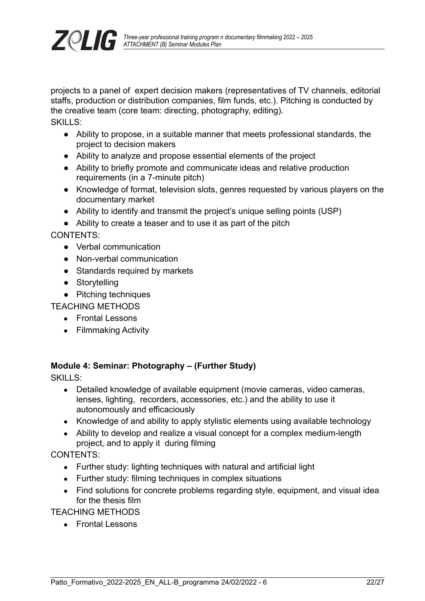

projects to a panel of expert decision makers (representatives of TV channels, editorial staffs, production or distribution companies, film funds, etc.). Pitching is conducted by the creative team (core team: directing, photography, editing). SKILLS:

- Ability to propose, in a suitable manner that meets professional standards, the project to decision makers
- Ability to analyze and propose essential elements of the project
- Ability to briefly promote and communicate ideas and relative production requirements (in a 7-minute pitch)
- Knowledge of format, television slots, genres requested by various players on the documentary market
- Ability to identify and transmit the project's unique selling points (USP)
- Ability to create a teaser and to use it as part of the pitch

CONTENTS:

- Verbal communication
- Non-verbal communication
- Standards required by markets
- Storytelling
- Pitching techniques

TEACHING METHODS

- Frontal Lessons
- Filmmaking Activity

#### **Module 4: Seminar: Photography – (Further Study)**

SKILLS:

- Detailed knowledge of available equipment (movie cameras, video cameras, lenses, lighting, recorders, accessories, etc.) and the ability to use it autonomously and efficaciously
- Knowledge of and ability to apply stylistic elements using available technology
- Ability to develop and realize a visual concept for a complex medium-length project, and to apply it during filming

CONTENTS:

- Further study: lighting techniques with natural and artificial light
- Further study: filming techniques in complex situations
- Find solutions for concrete problems regarding style, equipment, and visual idea for the thesis film

TEACHING METHODS

● Frontal Lessons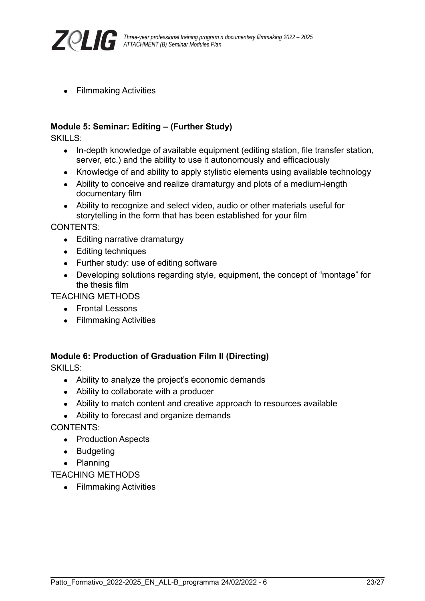

● Filmmaking Activities

#### **Module 5: Seminar: Editing – (Further Study)**

SKILLS:

- In-depth knowledge of available equipment (editing station, file transfer station, server, etc.) and the ability to use it autonomously and efficaciously
- Knowledge of and ability to apply stylistic elements using available technology
- Ability to conceive and realize dramaturgy and plots of a medium-length documentary film
- Ability to recognize and select video, audio or other materials useful for storytelling in the form that has been established for your film

CONTENTS:

- Editing narrative dramaturgy
- Editing techniques
- Further study: use of editing software
- Developing solutions regarding style, equipment, the concept of "montage" for the thesis film

TEACHING METHODS

- Frontal Lessons
- Filmmaking Activities

#### **Module 6: Production of Graduation Film II (Directing)**

SKILLS:

- Ability to analyze the project's economic demands
- Ability to collaborate with a producer
- Ability to match content and creative approach to resources available
- Ability to forecast and organize demands

CONTENTS:

- Production Aspects
- Budgeting
- Planning

TEACHING METHODS

● Filmmaking Activities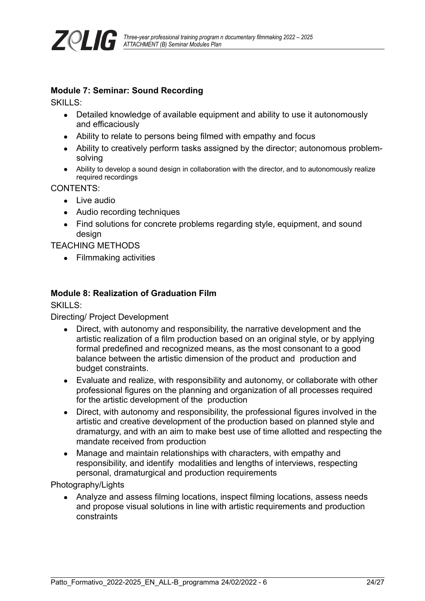

#### **Module 7: Seminar: Sound Recording**

SKILLS:

- Detailed knowledge of available equipment and ability to use it autonomously and efficaciously
- Ability to relate to persons being filmed with empathy and focus
- Ability to creatively perform tasks assigned by the director; autonomous problemsolving
- Ability to develop a sound design in collaboration with the director, and to autonomously realize required recordings

CONTENTS:

- Live audio
- Audio recording techniques
- Find solutions for concrete problems regarding style, equipment, and sound design

TEACHING METHODS

● Filmmaking activities

#### **Module 8: Realization of Graduation Film**

SKILLS:

Directing/ Project Development

- Direct, with autonomy and responsibility, the narrative development and the artistic realization of a film production based on an original style, or by applying formal predefined and recognized means, as the most consonant to a good balance between the artistic dimension of the product and production and budget constraints.
- Evaluate and realize, with responsibility and autonomy, or collaborate with other professional figures on the planning and organization of all processes required for the artistic development of the production
- Direct, with autonomy and responsibility, the professional figures involved in the artistic and creative development of the production based on planned style and dramaturgy, and with an aim to make best use of time allotted and respecting the mandate received from production
- Manage and maintain relationships with characters, with empathy and responsibility, and identify modalities and lengths of interviews, respecting personal, dramaturgical and production requirements

Photography/Lights

• Analyze and assess filming locations, inspect filming locations, assess needs and propose visual solutions in line with artistic requirements and production constraints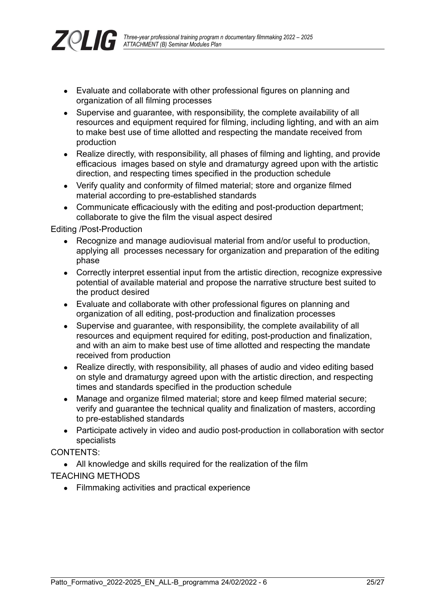

- Evaluate and collaborate with other professional figures on planning and organization of all filming processes
- Supervise and guarantee, with responsibility, the complete availability of all resources and equipment required for filming, including lighting, and with an aim to make best use of time allotted and respecting the mandate received from production
- Realize directly, with responsibility, all phases of filming and lighting, and provide efficacious images based on style and dramaturgy agreed upon with the artistic direction, and respecting times specified in the production schedule
- Verify quality and conformity of filmed material: store and organize filmed material according to pre-established standards
- Communicate efficaciously with the editing and post-production department; collaborate to give the film the visual aspect desired

Editing /Post-Production

- Recognize and manage audiovisual material from and/or useful to production, applying all processes necessary for organization and preparation of the editing phase
- Correctly interpret essential input from the artistic direction, recognize expressive potential of available material and propose the narrative structure best suited to the product desired
- Evaluate and collaborate with other professional figures on planning and organization of all editing, post-production and finalization processes
- Supervise and quarantee, with responsibility, the complete availability of all resources and equipment required for editing, post-production and finalization, and with an aim to make best use of time allotted and respecting the mandate received from production
- Realize directly, with responsibility, all phases of audio and video editing based on style and dramaturgy agreed upon with the artistic direction, and respecting times and standards specified in the production schedule
- Manage and organize filmed material; store and keep filmed material secure; verify and guarantee the technical quality and finalization of masters, according to pre-established standards
- Participate actively in video and audio post-production in collaboration with sector specialists

CONTENTS:

• All knowledge and skills required for the realization of the film

TEACHING METHODS

● Filmmaking activities and practical experience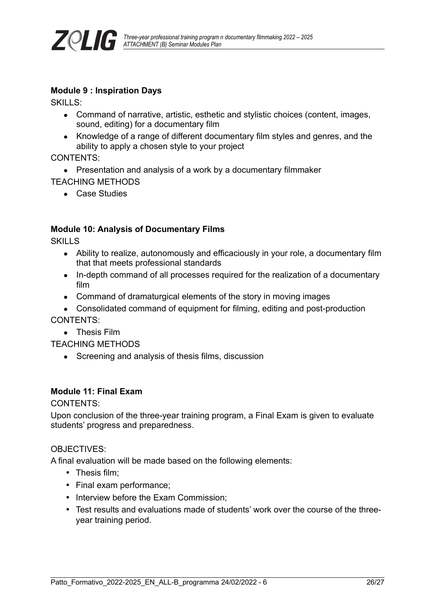

#### **Module 9 : Inspiration Days**

SKILLS:

- Command of narrative, artistic, esthetic and stylistic choices (content, images, sound, editing) for a documentary film
- Knowledge of a range of different documentary film styles and genres, and the ability to apply a chosen style to your project

CONTENTS:

- Presentation and analysis of a work by a documentary filmmaker TEACHING METHODS
	- Case Studies

### **Module 10: Analysis of Documentary Films**

SKILLS

- Ability to realize, autonomously and efficaciously in your role, a documentary film that that meets professional standards
- In-depth command of all processes required for the realization of a documentary film
- Command of dramaturgical elements of the story in moving images
- Consolidated command of equipment for filming, editing and post-production CONTENTS:
	- Thesis Film

TEACHING METHODS

• Screening and analysis of thesis films, discussion

#### **Module 11: Final Exam**

CONTENTS:

Upon conclusion of the three-year training program, a Final Exam is given to evaluate students' progress and preparedness.

#### OBJECTIVES:

A final evaluation will be made based on the following elements:

- Thesis film:
- Final exam performance;
- Interview before the Exam Commission;
- Test results and evaluations made of students' work over the course of the threeyear training period.